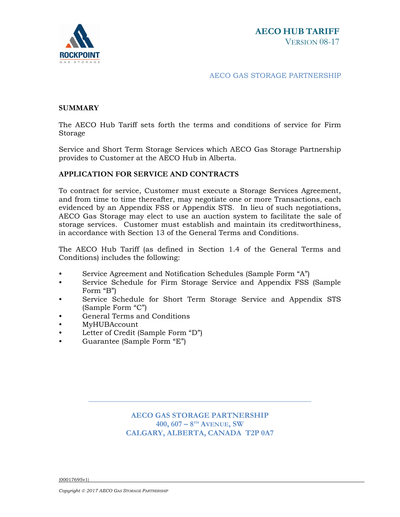

#### AECO GAS STORAGE PARTNERSHIP

## **SUMMARY**

The AECO Hub Tariff sets forth the terms and conditions of service for Firm Storage

Service and Short Term Storage Services which AECO Gas Storage Partnership provides to Customer at the AECO Hub in Alberta.

## **APPLICATION FOR SERVICE AND CONTRACTS**

To contract for service, Customer must execute a Storage Services Agreement, and from time to time thereafter, may negotiate one or more Transactions, each evidenced by an Appendix FSS or Appendix STS. In lieu of such negotiations, AECO Gas Storage may elect to use an auction system to facilitate the sale of storage services. Customer must establish and maintain its creditworthiness, in accordance with Section 13 of the General Terms and Conditions.

The AECO Hub Tariff (as defined in Section 1.4 of the General Terms and Conditions) includes the following:

- Service Agreement and Notification Schedules (Sample Form "A")
- Service Schedule for Firm Storage Service and Appendix FSS (Sample Form "B")
- Service Schedule for Short Term Storage Service and Appendix STS (Sample Form "C")
- General Terms and Conditions
- MyHUBAccount
- Letter of Credit (Sample Form "D")
- Guarantee (Sample Form "E")

**AECO GAS STORAGE PARTNERSHIP 400, 607 – 8TH AVENUE, SW CALGARY, ALBERTA, CANADA T2P 0A7**

\_\_\_\_\_\_\_\_\_\_\_\_\_\_\_\_\_\_\_\_\_\_\_\_\_\_\_\_\_\_\_\_\_\_\_\_\_\_\_\_\_\_\_\_\_\_\_\_\_\_\_\_\_\_\_\_\_\_\_\_\_\_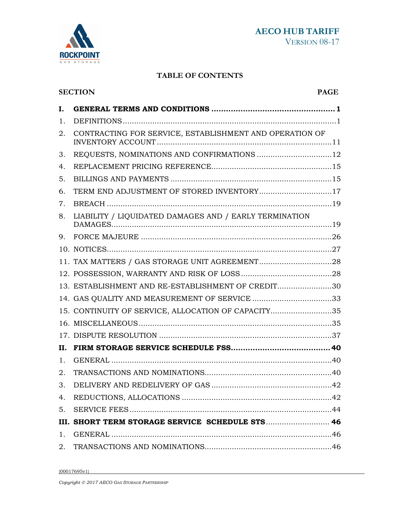



# **TABLE OF CONTENTS**

|    | <b>SECTION</b><br><b>PAGE</b>                           |  |  |
|----|---------------------------------------------------------|--|--|
| I. |                                                         |  |  |
| 1. |                                                         |  |  |
| 2. | CONTRACTING FOR SERVICE, ESTABLISHMENT AND OPERATION OF |  |  |
| 3. | REQUESTS, NOMINATIONS AND CONFIRMATIONS 12              |  |  |
| 4. |                                                         |  |  |
| 5. |                                                         |  |  |
| 6. | TERM END ADJUSTMENT OF STORED INVENTORY17               |  |  |
| 7. |                                                         |  |  |
| 8. | LIABILITY / LIQUIDATED DAMAGES AND / EARLY TERMINATION  |  |  |
| 9. |                                                         |  |  |
|    |                                                         |  |  |
|    |                                                         |  |  |
|    |                                                         |  |  |
|    | 13. ESTABLISHMENT AND RE-ESTABLISHMENT OF CREDIT30      |  |  |
|    | 14. GAS QUALITY AND MEASUREMENT OF SERVICE 33           |  |  |
|    | 15. CONTINUITY OF SERVICE, ALLOCATION OF CAPACITY35     |  |  |
|    |                                                         |  |  |
|    |                                                         |  |  |
| П. |                                                         |  |  |
| 1. |                                                         |  |  |
| 2. |                                                         |  |  |
| 3. |                                                         |  |  |
| 4. |                                                         |  |  |
| 5. |                                                         |  |  |
|    | III. SHORT TERM STORAGE SERVICE SCHEDULE STS 46         |  |  |
| 1. |                                                         |  |  |
|    |                                                         |  |  |
|    |                                                         |  |  |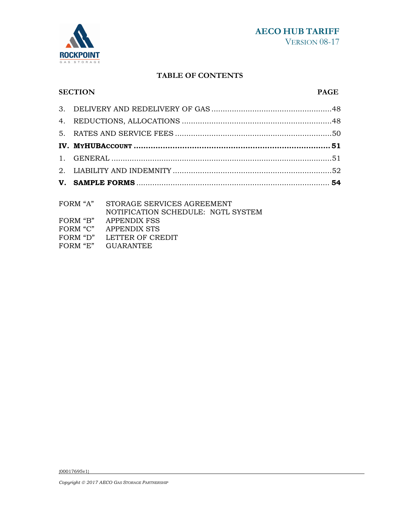

# **TABLE OF CONTENTS**

#### **SECTION PAGE**

| FODM "A" CTODAGE CEDITOES ACREEMENT |  |
|-------------------------------------|--|

| FORM "A" | STORAGE SERVICES AGREEMENT         |
|----------|------------------------------------|
|          | NOTIFICATION SCHEDULE: NGTL SYSTEM |
| FORM "B" | APPENDIX FSS                       |
| FORM "C" | APPENDIX STS                       |
| FORM "D" | LETTER OF CREDIT                   |
| FORM "E" | <b>GUARANTEE</b>                   |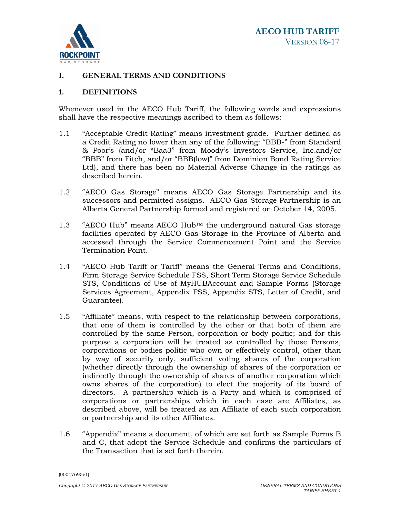

# **I. GENERAL TERMS AND CONDITIONS**

### **1. DEFINITIONS**

Whenever used in the AECO Hub Tariff, the following words and expressions shall have the respective meanings ascribed to them as follows:

- 1.1 "Acceptable Credit Rating" means investment grade. Further defined as a Credit Rating no lower than any of the following: "BBB-" from Standard & Poor's (and/or "Baa3" from Moody's Investors Service, Inc.and/or "BBB" from Fitch, and/or "BBB(low)" from Dominion Bond Rating Service Ltd), and there has been no Material Adverse Change in the ratings as described herein.
- 1.2 "AECO Gas Storage" means AECO Gas Storage Partnership and its successors and permitted assigns. AECO Gas Storage Partnership is an Alberta General Partnership formed and registered on October 14, 2005.
- 1.3 "AECO Hub" means AECO Hub<sup>™</sup> the underground natural Gas storage facilities operated by AECO Gas Storage in the Province of Alberta and accessed through the Service Commencement Point and the Service Termination Point.
- 1.4 "AECO Hub Tariff or Tariff" means the General Terms and Conditions, Firm Storage Service Schedule FSS, Short Term Storage Service Schedule STS, Conditions of Use of MyHUBAccount and Sample Forms (Storage Services Agreement, Appendix FSS, Appendix STS, Letter of Credit, and Guarantee).
- 1.5 "Affiliate" means, with respect to the relationship between corporations, that one of them is controlled by the other or that both of them are controlled by the same Person, corporation or body politic; and for this purpose a corporation will be treated as controlled by those Persons, corporations or bodies politic who own or effectively control, other than by way of security only, sufficient voting shares of the corporation (whether directly through the ownership of shares of the corporation or indirectly through the ownership of shares of another corporation which owns shares of the corporation) to elect the majority of its board of directors. A partnership which is a Party and which is comprised of corporations or partnerships which in each case are Affiliates, as described above, will be treated as an Affiliate of each such corporation or partnership and its other Affiliates.
- 1.6 "Appendix" means a document, of which are set forth as Sample Forms B and C, that adopt the Service Schedule and confirms the particulars of the Transaction that is set forth therein.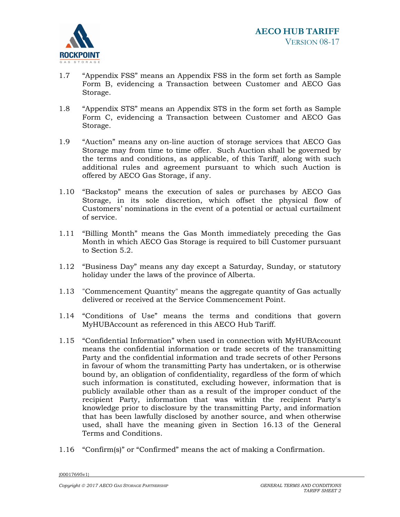

- 1.7 "Appendix FSS" means an Appendix FSS in the form set forth as Sample Form B, evidencing a Transaction between Customer and AECO Gas Storage.
- 1.8 "Appendix STS" means an Appendix STS in the form set forth as Sample Form C, evidencing a Transaction between Customer and AECO Gas Storage.
- 1.9 "Auction" means any on-line auction of storage services that AECO Gas Storage may from time to time offer. Such Auction shall be governed by the terms and conditions, as applicable, of this Tariff¸ along with such additional rules and agreement pursuant to which such Auction is offered by AECO Gas Storage, if any.
- 1.10 "Backstop" means the execution of sales or purchases by AECO Gas Storage, in its sole discretion, which offset the physical flow of Customers' nominations in the event of a potential or actual curtailment of service.
- 1.11 "Billing Month" means the Gas Month immediately preceding the Gas Month in which AECO Gas Storage is required to bill Customer pursuant to Section 5.2.
- 1.12 "Business Day" means any day except a Saturday, Sunday, or statutory holiday under the laws of the province of Alberta.
- 1.13 "Commencement Quantity" means the aggregate quantity of Gas actually delivered or received at the Service Commencement Point.
- 1.14 "Conditions of Use" means the terms and conditions that govern MyHUBAccount as referenced in this AECO Hub Tariff.
- 1.15 "Confidential Information" when used in connection with MyHUBAccount means the confidential information or trade secrets of the transmitting Party and the confidential information and trade secrets of other Persons in favour of whom the transmitting Party has undertaken, or is otherwise bound by, an obligation of confidentiality, regardless of the form of which such information is constituted, excluding however, information that is publicly available other than as a result of the improper conduct of the recipient Party, information that was within the recipient Party's knowledge prior to disclosure by the transmitting Party, and information that has been lawfully disclosed by another source, and when otherwise used, shall have the meaning given in Section 16.13 of the General Terms and Conditions.
- 1.16 "Confirm(s)" or "Confirmed" means the act of making a Confirmation.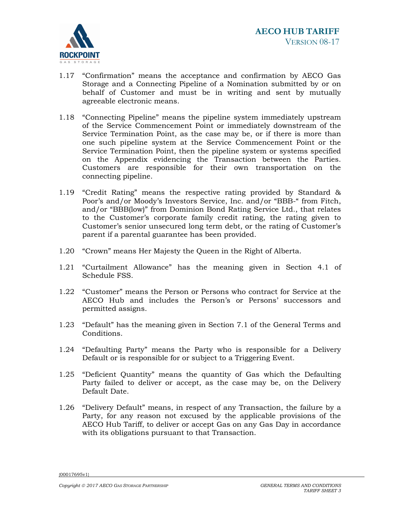

- 1.17 "Confirmation" means the acceptance and confirmation by AECO Gas Storage and a Connecting Pipeline of a Nomination submitted by or on behalf of Customer and must be in writing and sent by mutually agreeable electronic means.
- 1.18 "Connecting Pipeline" means the pipeline system immediately upstream of the Service Commencement Point or immediately downstream of the Service Termination Point, as the case may be, or if there is more than one such pipeline system at the Service Commencement Point or the Service Termination Point, then the pipeline system or systems specified on the Appendix evidencing the Transaction between the Parties. Customers are responsible for their own transportation on the connecting pipeline.
- 1.19 "Credit Rating" means the respective rating provided by Standard & Poor's and/or Moody's Investors Service, Inc. and/or "BBB-" from Fitch, and/or "BBB(low)" from Dominion Bond Rating Service Ltd., that relates to the Customer's corporate family credit rating, the rating given to Customer's senior unsecured long term debt, or the rating of Customer's parent if a parental guarantee has been provided.
- 1.20 "Crown" means Her Majesty the Queen in the Right of Alberta.
- 1.21 "Curtailment Allowance" has the meaning given in Section 4.1 of Schedule FSS.
- 1.22 "Customer" means the Person or Persons who contract for Service at the AECO Hub and includes the Person's or Persons' successors and permitted assigns.
- 1.23 "Default" has the meaning given in Section 7.1 of the General Terms and Conditions.
- 1.24 "Defaulting Party" means the Party who is responsible for a Delivery Default or is responsible for or subject to a Triggering Event.
- 1.25 "Deficient Quantity" means the quantity of Gas which the Defaulting Party failed to deliver or accept, as the case may be, on the Delivery Default Date.
- 1.26 "Delivery Default" means, in respect of any Transaction, the failure by a Party, for any reason not excused by the applicable provisions of the AECO Hub Tariff, to deliver or accept Gas on any Gas Day in accordance with its obligations pursuant to that Transaction.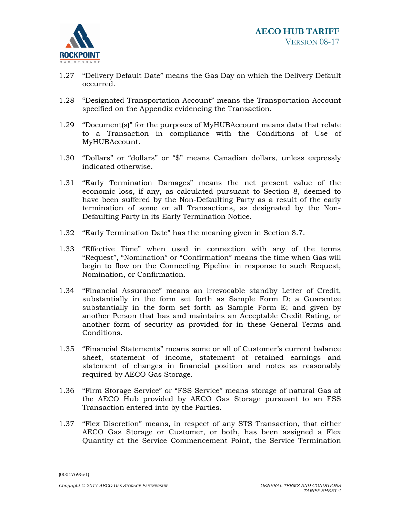

- 1.27 "Delivery Default Date" means the Gas Day on which the Delivery Default occurred.
- 1.28 "Designated Transportation Account" means the Transportation Account specified on the Appendix evidencing the Transaction.
- 1.29 "Document(s)" for the purposes of MyHUBAccount means data that relate to a Transaction in compliance with the Conditions of Use of MyHUBAccount.
- 1.30 "Dollars" or "dollars" or "\$" means Canadian dollars, unless expressly indicated otherwise.
- 1.31 "Early Termination Damages" means the net present value of the economic loss, if any, as calculated pursuant to Section 8, deemed to have been suffered by the Non-Defaulting Party as a result of the early termination of some or all Transactions, as designated by the Non-Defaulting Party in its Early Termination Notice.
- 1.32 "Early Termination Date" has the meaning given in Section 8.7.
- 1.33 "Effective Time" when used in connection with any of the terms "Request", "Nomination" or "Confirmation" means the time when Gas will begin to flow on the Connecting Pipeline in response to such Request, Nomination, or Confirmation.
- 1.34 "Financial Assurance" means an irrevocable standby Letter of Credit, substantially in the form set forth as Sample Form D; a Guarantee substantially in the form set forth as Sample Form E; and given by another Person that has and maintains an Acceptable Credit Rating, or another form of security as provided for in these General Terms and Conditions.
- 1.35 "Financial Statements" means some or all of Customer's current balance sheet, statement of income, statement of retained earnings and statement of changes in financial position and notes as reasonably required by AECO Gas Storage.
- 1.36 "Firm Storage Service" or "FSS Service" means storage of natural Gas at the AECO Hub provided by AECO Gas Storage pursuant to an FSS Transaction entered into by the Parties.
- 1.37 "Flex Discretion" means, in respect of any STS Transaction, that either AECO Gas Storage or Customer, or both, has been assigned a Flex Quantity at the Service Commencement Point, the Service Termination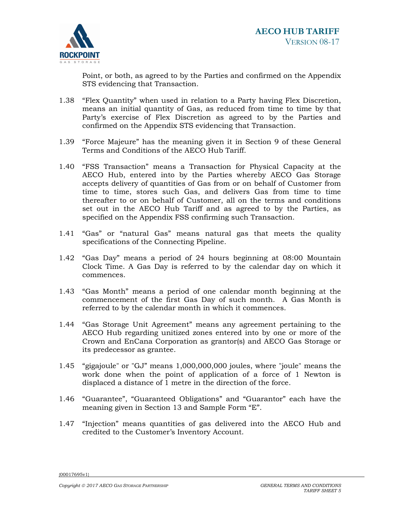

Point, or both, as agreed to by the Parties and confirmed on the Appendix STS evidencing that Transaction.

- 1.38 "Flex Quantity" when used in relation to a Party having Flex Discretion, means an initial quantity of Gas, as reduced from time to time by that Party's exercise of Flex Discretion as agreed to by the Parties and confirmed on the Appendix STS evidencing that Transaction.
- 1.39 "Force Majeure" has the meaning given it in Section 9 of these General Terms and Conditions of the AECO Hub Tariff.
- 1.40 "FSS Transaction" means a Transaction for Physical Capacity at the AECO Hub, entered into by the Parties whereby AECO Gas Storage accepts delivery of quantities of Gas from or on behalf of Customer from time to time, stores such Gas, and delivers Gas from time to time thereafter to or on behalf of Customer, all on the terms and conditions set out in the AECO Hub Tariff and as agreed to by the Parties, as specified on the Appendix FSS confirming such Transaction.
- 1.41 "Gas" or "natural Gas" means natural gas that meets the quality specifications of the Connecting Pipeline.
- 1.42 "Gas Day" means a period of 24 hours beginning at 08:00 Mountain Clock Time. A Gas Day is referred to by the calendar day on which it commences.
- 1.43 "Gas Month" means a period of one calendar month beginning at the commencement of the first Gas Day of such month. A Gas Month is referred to by the calendar month in which it commences.
- 1.44 "Gas Storage Unit Agreement" means any agreement pertaining to the AECO Hub regarding unitized zones entered into by one or more of the Crown and EnCana Corporation as grantor(s) and AECO Gas Storage or its predecessor as grantee.
- 1.45 "gigajoule" or "GJ" means 1,000,000,000 joules, where "joule" means the work done when the point of application of a force of 1 Newton is displaced a distance of 1 metre in the direction of the force.
- 1.46 "Guarantee", "Guaranteed Obligations" and "Guarantor" each have the meaning given in Section 13 and Sample Form "E".
- 1.47 "Injection" means quantities of gas delivered into the AECO Hub and credited to the Customer's Inventory Account.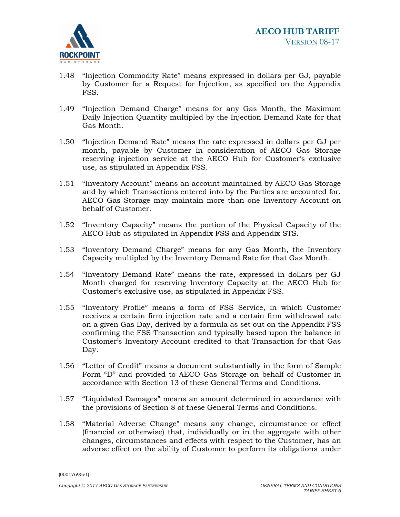

- 1.48 "Injection Commodity Rate" means expressed in dollars per GJ, payable by Customer for a Request for Injection, as specified on the Appendix FSS.
- 1.49 "Injection Demand Charge" means for any Gas Month, the Maximum Daily Injection Quantity multipled by the Injection Demand Rate for that Gas Month.
- 1.50 "Injection Demand Rate" means the rate expressed in dollars per GJ per month, payable by Customer in consideration of AECO Gas Storage reserving injection service at the AECO Hub for Customer's exclusive use, as stipulated in Appendix FSS.
- 1.51 "Inventory Account" means an account maintained by AECO Gas Storage and by which Transactions entered into by the Parties are accounted for. AECO Gas Storage may maintain more than one Inventory Account on behalf of Customer.
- 1.52 "Inventory Capacity" means the portion of the Physical Capacity of the AECO Hub as stipulated in Appendix FSS and Appendix STS.
- 1.53 "Inventory Demand Charge" means for any Gas Month, the Inventory Capacity multipled by the Inventory Demand Rate for that Gas Month.
- 1.54 "Inventory Demand Rate" means the rate, expressed in dollars per GJ Month charged for reserving Inventory Capacity at the AECO Hub for Customer's exclusive use, as stipulated in Appendix FSS.
- 1.55 "Inventory Profile" means a form of FSS Service, in which Customer receives a certain firm injection rate and a certain firm withdrawal rate on a given Gas Day, derived by a formula as set out on the Appendix FSS confirming the FSS Transaction and typically based upon the balance in Customer's Inventory Account credited to that Transaction for that Gas Day.
- 1.56 "Letter of Credit" means a document substantially in the form of Sample Form "D" and provided to AECO Gas Storage on behalf of Customer in accordance with Section 13 of these General Terms and Conditions.
- 1.57 "Liquidated Damages" means an amount determined in accordance with the provisions of Section 8 of these General Terms and Conditions.
- 1.58 "Material Adverse Change" means any change, circumstance or effect (financial or otherwise) that, individually or in the aggregate with other changes, circumstances and effects with respect to the Customer, has an adverse effect on the ability of Customer to perform its obligations under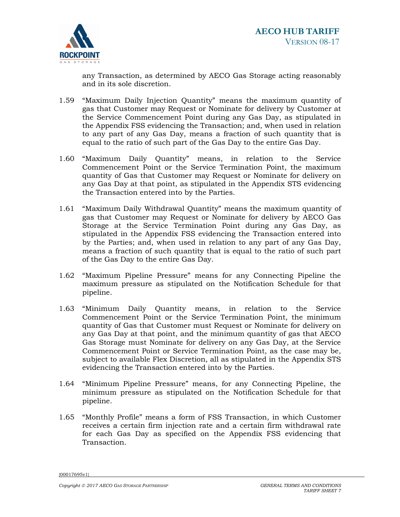

any Transaction, as determined by AECO Gas Storage acting reasonably and in its sole discretion.

- 1.59 "Maximum Daily Injection Quantity" means the maximum quantity of gas that Customer may Request or Nominate for delivery by Customer at the Service Commencement Point during any Gas Day, as stipulated in the Appendix FSS evidencing the Transaction; and, when used in relation to any part of any Gas Day, means a fraction of such quantity that is equal to the ratio of such part of the Gas Day to the entire Gas Day.
- 1.60 "Maximum Daily Quantity" means, in relation to the Service Commencement Point or the Service Termination Point, the maximum quantity of Gas that Customer may Request or Nominate for delivery on any Gas Day at that point, as stipulated in the Appendix STS evidencing the Transaction entered into by the Parties.
- 1.61 "Maximum Daily Withdrawal Quantity" means the maximum quantity of gas that Customer may Request or Nominate for delivery by AECO Gas Storage at the Service Termination Point during any Gas Day, as stipulated in the Appendix FSS evidencing the Transaction entered into by the Parties; and, when used in relation to any part of any Gas Day, means a fraction of such quantity that is equal to the ratio of such part of the Gas Day to the entire Gas Day.
- 1.62 "Maximum Pipeline Pressure" means for any Connecting Pipeline the maximum pressure as stipulated on the Notification Schedule for that pipeline.
- 1.63 "Minimum Daily Quantity means, in relation to the Service Commencement Point or the Service Termination Point, the minimum quantity of Gas that Customer must Request or Nominate for delivery on any Gas Day at that point, and the minimum quantity of gas that AECO Gas Storage must Nominate for delivery on any Gas Day, at the Service Commencement Point or Service Termination Point, as the case may be, subject to available Flex Discretion, all as stipulated in the Appendix STS evidencing the Transaction entered into by the Parties.
- 1.64 "Minimum Pipeline Pressure" means, for any Connecting Pipeline, the minimum pressure as stipulated on the Notification Schedule for that pipeline.
- 1.65 "Monthly Profile" means a form of FSS Transaction, in which Customer receives a certain firm injection rate and a certain firm withdrawal rate for each Gas Day as specified on the Appendix FSS evidencing that Transaction.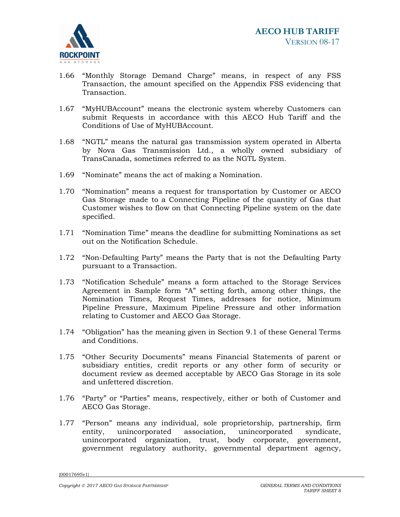

- 1.66 "Monthly Storage Demand Charge" means, in respect of any FSS Transaction, the amount specified on the Appendix FSS evidencing that Transaction.
- 1.67 "MyHUBAccount" means the electronic system whereby Customers can submit Requests in accordance with this AECO Hub Tariff and the Conditions of Use of MyHUBAccount.
- 1.68 "NGTL" means the natural gas transmission system operated in Alberta by Nova Gas Transmission Ltd., a wholly owned subsidiary of TransCanada, sometimes referred to as the NGTL System.
- 1.69 "Nominate" means the act of making a Nomination.
- 1.70 "Nomination" means a request for transportation by Customer or AECO Gas Storage made to a Connecting Pipeline of the quantity of Gas that Customer wishes to flow on that Connecting Pipeline system on the date specified.
- 1.71 "Nomination Time" means the deadline for submitting Nominations as set out on the Notification Schedule.
- 1.72 "Non-Defaulting Party" means the Party that is not the Defaulting Party pursuant to a Transaction.
- 1.73 "Notification Schedule" means a form attached to the Storage Services Agreement in Sample form "A" setting forth, among other things, the Nomination Times, Request Times, addresses for notice, Minimum Pipeline Pressure, Maximum Pipeline Pressure and other information relating to Customer and AECO Gas Storage.
- 1.74 "Obligation" has the meaning given in Section 9.1 of these General Terms and Conditions.
- 1.75 "Other Security Documents" means Financial Statements of parent or subsidiary entities, credit reports or any other form of security or document review as deemed acceptable by AECO Gas Storage in its sole and unfettered discretion.
- 1.76 "Party" or "Parties" means, respectively, either or both of Customer and AECO Gas Storage.
- 1.77 "Person" means any individual, sole proprietorship, partnership, firm entity, unincorporated association, unincorporated syndicate, unincorporated organization, trust, body corporate, government, government regulatory authority, governmental department agency,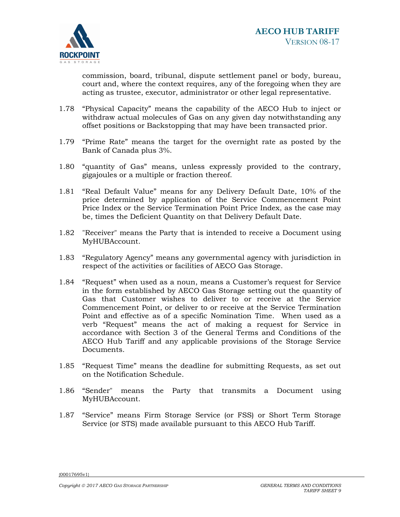

commission, board, tribunal, dispute settlement panel or body, bureau, court and, where the context requires, any of the foregoing when they are acting as trustee, executor, administrator or other legal representative.

- 1.78 "Physical Capacity" means the capability of the AECO Hub to inject or withdraw actual molecules of Gas on any given day notwithstanding any offset positions or Backstopping that may have been transacted prior.
- 1.79 "Prime Rate" means the target for the overnight rate as posted by the Bank of Canada plus 3%.
- 1.80 "quantity of Gas" means, unless expressly provided to the contrary, gigajoules or a multiple or fraction thereof.
- 1.81 "Real Default Value" means for any Delivery Default Date, 10% of the price determined by application of the Service Commencement Point Price Index or the Service Termination Point Price Index, as the case may be, times the Deficient Quantity on that Delivery Default Date.
- 1.82 "Receiver" means the Party that is intended to receive a Document using MyHUBAccount.
- 1.83 "Regulatory Agency" means any governmental agency with jurisdiction in respect of the activities or facilities of AECO Gas Storage.
- 1.84 "Request" when used as a noun, means a Customer's request for Service in the form established by AECO Gas Storage setting out the quantity of Gas that Customer wishes to deliver to or receive at the Service Commencement Point, or deliver to or receive at the Service Termination Point and effective as of a specific Nomination Time. When used as a verb "Request" means the act of making a request for Service in accordance with Section 3 of the General Terms and Conditions of the AECO Hub Tariff and any applicable provisions of the Storage Service Documents.
- 1.85 "Request Time" means the deadline for submitting Requests, as set out on the Notification Schedule.
- 1.86 "Sender" means the Party that transmits a Document using MyHUBAccount.
- 1.87 "Service" means Firm Storage Service (or FSS) or Short Term Storage Service (or STS) made available pursuant to this AECO Hub Tariff.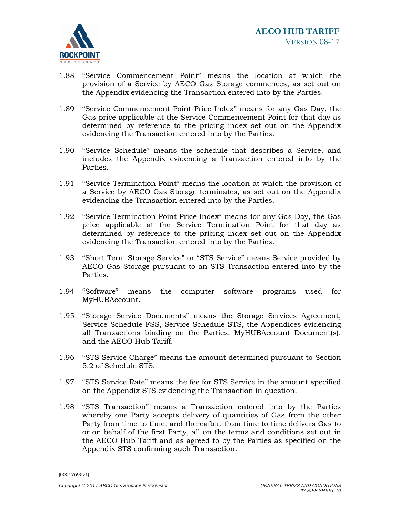

- 1.88 "Service Commencement Point" means the location at which the provision of a Service by AECO Gas Storage commences, as set out on the Appendix evidencing the Transaction entered into by the Parties.
- 1.89 "Service Commencement Point Price Index" means for any Gas Day, the Gas price applicable at the Service Commencement Point for that day as determined by reference to the pricing index set out on the Appendix evidencing the Transaction entered into by the Parties.
- 1.90 "Service Schedule" means the schedule that describes a Service, and includes the Appendix evidencing a Transaction entered into by the Parties.
- 1.91 "Service Termination Point" means the location at which the provision of a Service by AECO Gas Storage terminates, as set out on the Appendix evidencing the Transaction entered into by the Parties.
- 1.92 "Service Termination Point Price Index" means for any Gas Day, the Gas price applicable at the Service Termination Point for that day as determined by reference to the pricing index set out on the Appendix evidencing the Transaction entered into by the Parties.
- 1.93 "Short Term Storage Service" or "STS Service" means Service provided by AECO Gas Storage pursuant to an STS Transaction entered into by the Parties.
- 1.94 "Software" means the computer software programs used for MyHUBAccount.
- 1.95 "Storage Service Documents" means the Storage Services Agreement, Service Schedule FSS, Service Schedule STS, the Appendices evidencing all Transactions binding on the Parties, MyHUBAccount Document(s), and the AECO Hub Tariff.
- 1.96 "STS Service Charge" means the amount determined pursuant to Section 5.2 of Schedule STS.
- 1.97 "STS Service Rate" means the fee for STS Service in the amount specified on the Appendix STS evidencing the Transaction in question.
- 1.98 "STS Transaction" means a Transaction entered into by the Parties whereby one Party accepts delivery of quantities of Gas from the other Party from time to time, and thereafter, from time to time delivers Gas to or on behalf of the first Party, all on the terms and conditions set out in the AECO Hub Tariff and as agreed to by the Parties as specified on the Appendix STS confirming such Transaction.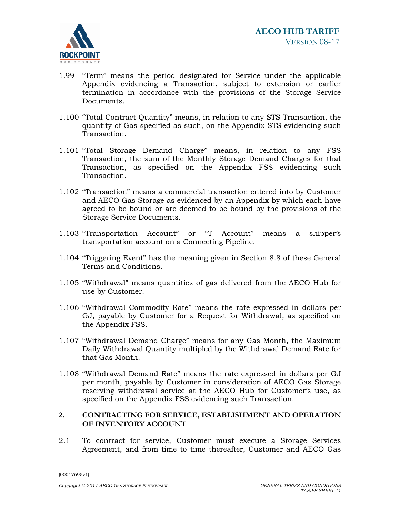

- 1.99 "Term" means the period designated for Service under the applicable Appendix evidencing a Transaction, subject to extension or earlier termination in accordance with the provisions of the Storage Service Documents.
- 1.100 "Total Contract Quantity" means, in relation to any STS Transaction, the quantity of Gas specified as such, on the Appendix STS evidencing such Transaction.
- 1.101 "Total Storage Demand Charge" means, in relation to any FSS Transaction, the sum of the Monthly Storage Demand Charges for that Transaction, as specified on the Appendix FSS evidencing such Transaction.
- 1.102 "Transaction" means a commercial transaction entered into by Customer and AECO Gas Storage as evidenced by an Appendix by which each have agreed to be bound or are deemed to be bound by the provisions of the Storage Service Documents.
- 1.103 "Transportation Account" or "T Account" means a shipper's transportation account on a Connecting Pipeline.
- 1.104 "Triggering Event" has the meaning given in Section 8.8 of these General Terms and Conditions.
- 1.105 "Withdrawal" means quantities of gas delivered from the AECO Hub for use by Customer.
- 1.106 "Withdrawal Commodity Rate" means the rate expressed in dollars per GJ, payable by Customer for a Request for Withdrawal, as specified on the Appendix FSS.
- 1.107 "Withdrawal Demand Charge" means for any Gas Month, the Maximum Daily Withdrawal Quantity multipled by the Withdrawal Demand Rate for that Gas Month.
- 1.108 "Withdrawal Demand Rate" means the rate expressed in dollars per GJ per month, payable by Customer in consideration of AECO Gas Storage reserving withdrawal service at the AECO Hub for Customer's use, as specified on the Appendix FSS evidencing such Transaction.

# **2. CONTRACTING FOR SERVICE, ESTABLISHMENT AND OPERATION OF INVENTORY ACCOUNT**

2.1 To contract for service, Customer must execute a Storage Services Agreement, and from time to time thereafter, Customer and AECO Gas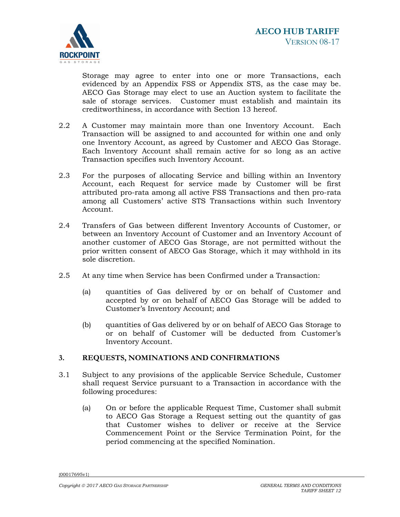

Storage may agree to enter into one or more Transactions, each evidenced by an Appendix FSS or Appendix STS, as the case may be. AECO Gas Storage may elect to use an Auction system to facilitate the sale of storage services. Customer must establish and maintain its creditworthiness, in accordance with Section 13 hereof.

- 2.2 A Customer may maintain more than one Inventory Account. Each Transaction will be assigned to and accounted for within one and only one Inventory Account, as agreed by Customer and AECO Gas Storage. Each Inventory Account shall remain active for so long as an active Transaction specifies such Inventory Account.
- 2.3 For the purposes of allocating Service and billing within an Inventory Account, each Request for service made by Customer will be first attributed pro-rata among all active FSS Transactions and then pro-rata among all Customers' active STS Transactions within such Inventory Account.
- 2.4 Transfers of Gas between different Inventory Accounts of Customer, or between an Inventory Account of Customer and an Inventory Account of another customer of AECO Gas Storage, are not permitted without the prior written consent of AECO Gas Storage, which it may withhold in its sole discretion.
- 2.5 At any time when Service has been Confirmed under a Transaction:
	- (a) quantities of Gas delivered by or on behalf of Customer and accepted by or on behalf of AECO Gas Storage will be added to Customer's Inventory Account; and
	- (b) quantities of Gas delivered by or on behalf of AECO Gas Storage to or on behalf of Customer will be deducted from Customer's Inventory Account.

# **3. REQUESTS, NOMINATIONS AND CONFIRMATIONS**

- 3.1 Subject to any provisions of the applicable Service Schedule, Customer shall request Service pursuant to a Transaction in accordance with the following procedures:
	- (a) On or before the applicable Request Time, Customer shall submit to AECO Gas Storage a Request setting out the quantity of gas that Customer wishes to deliver or receive at the Service Commencement Point or the Service Termination Point, for the period commencing at the specified Nomination.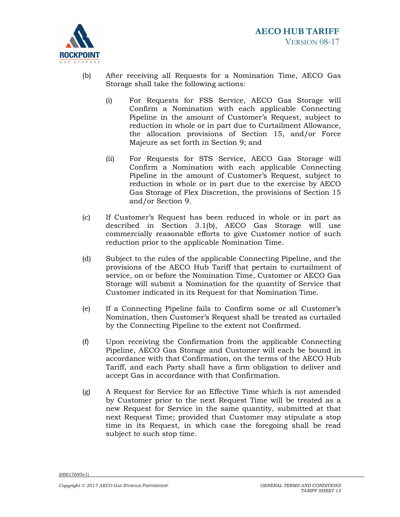

- (b) After receiving all Requests for a Nomination Time, AECO Gas Storage shall take the following actions:
	- (i) For Requests for FSS Service, AECO Gas Storage will Confirm a Nomination with each applicable Connecting Pipeline in the amount of Customer's Request, subject to reduction in whole or in part due to Curtailment Allowance, the allocation provisions of Section 15, and/or Force Majeure as set forth in Section 9; and
	- (ii) For Requests for STS Service, AECO Gas Storage will Confirm a Nomination with each applicable Connecting Pipeline in the amount of Customer's Request, subject to reduction in whole or in part due to the exercise by AECO Gas Storage of Flex Discretion, the provisions of Section 15 and/or Section 9.
- (c) If Customer's Request has been reduced in whole or in part as described in Section 3.1(b), AECO Gas Storage will use commercially reasonable efforts to give Customer notice of such reduction prior to the applicable Nomination Time.
- (d) Subject to the rules of the applicable Connecting Pipeline, and the provisions of the AECO Hub Tariff that pertain to curtailment of service, on or before the Nomination Time, Customer or AECO Gas Storage will submit a Nomination for the quantity of Service that Customer indicated in its Request for that Nomination Time.
- (e) If a Connecting Pipeline fails to Confirm some or all Customer's Nomination, then Customer's Request shall be treated as curtailed by the Connecting Pipeline to the extent not Confirmed.
- (f) Upon receiving the Confirmation from the applicable Connecting Pipeline, AECO Gas Storage and Customer will each be bound in accordance with that Confirmation, on the terms of the AECO Hub Tariff, and each Party shall have a firm obligation to deliver and accept Gas in accordance with that Confirmation.
- (g) A Request for Service for an Effective Time which is not amended by Customer prior to the next Request Time will be treated as a new Request for Service in the same quantity, submitted at that next Request Time; provided that Customer may stipulate a stop time in its Request, in which case the foregoing shall be read subject to such stop time.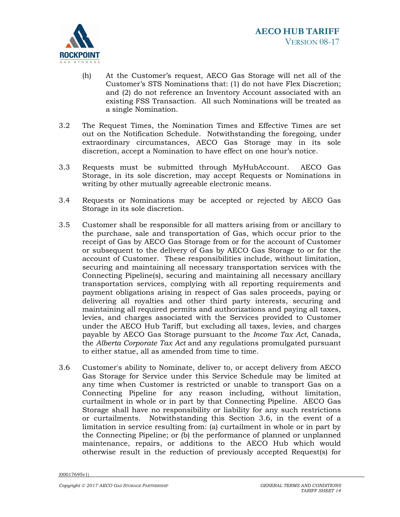

- (h) At the Customer's request, AECO Gas Storage will net all of the Customer's STS Nominations that: (1) do not have Flex Discretion; and (2) do not reference an Inventory Account associated with an existing FSS Transaction. All such Nominations will be treated as a single Nomination.
- 3.2 The Request Times, the Nomination Times and Effective Times are set out on the Notification Schedule. Notwithstanding the foregoing, under extraordinary circumstances, AECO Gas Storage may in its sole discretion, accept a Nomination to have effect on one hour's notice.
- 3.3 Requests must be submitted through MyHubAccount. AECO Gas Storage, in its sole discretion, may accept Requests or Nominations in writing by other mutually agreeable electronic means.
- 3.4 Requests or Nominations may be accepted or rejected by AECO Gas Storage in its sole discretion.
- 3.5 Customer shall be responsible for all matters arising from or ancillary to the purchase, sale and transportation of Gas, which occur prior to the receipt of Gas by AECO Gas Storage from or for the account of Customer or subsequent to the delivery of Gas by AECO Gas Storage to or for the account of Customer. These responsibilities include, without limitation, securing and maintaining all necessary transportation services with the Connecting Pipeline(s), securing and maintaining all necessary ancillary transportation services, complying with all reporting requirements and payment obligations arising in respect of Gas sales proceeds, paying or delivering all royalties and other third party interests, securing and maintaining all required permits and authorizations and paying all taxes, levies, and charges associated with the Services provided to Customer under the AECO Hub Tariff, but excluding all taxes, levies, and charges payable by AECO Gas Storage pursuant to the *Income Tax Act*, Canada, the *Alberta Corporate Tax Act* and any regulations promulgated pursuant to either statue, all as amended from time to time.
- 3.6 Customer's ability to Nominate, deliver to, or accept delivery from AECO Gas Storage for Service under this Service Schedule may be limited at any time when Customer is restricted or unable to transport Gas on a Connecting Pipeline for any reason including, without limitation, curtailment in whole or in part by that Connecting Pipeline. AECO Gas Storage shall have no responsibility or liability for any such restrictions or curtailments. Notwithstanding this Section 3.6, in the event of a limitation in service resulting from: (a) curtailment in whole or in part by the Connecting Pipeline; or (b) the performance of planned or unplanned maintenance, repairs, or additions to the AECO Hub which would otherwise result in the reduction of previously accepted Request(s) for

<sup>{00017695</sup>v1}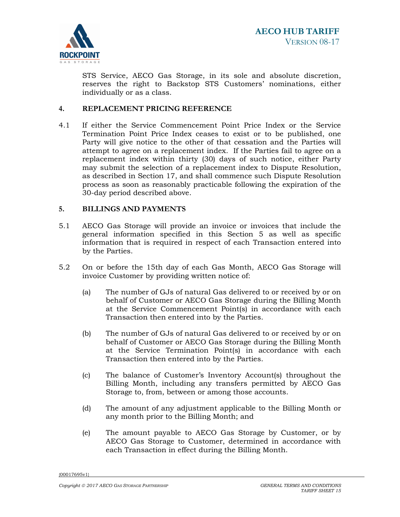

STS Service, AECO Gas Storage, in its sole and absolute discretion, reserves the right to Backstop STS Customers' nominations, either individually or as a class.

## **4. REPLACEMENT PRICING REFERENCE**

4.1 If either the Service Commencement Point Price Index or the Service Termination Point Price Index ceases to exist or to be published, one Party will give notice to the other of that cessation and the Parties will attempt to agree on a replacement index. If the Parties fail to agree on a replacement index within thirty (30) days of such notice, either Party may submit the selection of a replacement index to Dispute Resolution, as described in Section 17, and shall commence such Dispute Resolution process as soon as reasonably practicable following the expiration of the 30-day period described above.

### **5. BILLINGS AND PAYMENTS**

- 5.1 AECO Gas Storage will provide an invoice or invoices that include the general information specified in this Section 5 as well as specific information that is required in respect of each Transaction entered into by the Parties.
- 5.2 On or before the 15th day of each Gas Month, AECO Gas Storage will invoice Customer by providing written notice of:
	- (a) The number of GJs of natural Gas delivered to or received by or on behalf of Customer or AECO Gas Storage during the Billing Month at the Service Commencement Point(s) in accordance with each Transaction then entered into by the Parties.
	- (b) The number of GJs of natural Gas delivered to or received by or on behalf of Customer or AECO Gas Storage during the Billing Month at the Service Termination Point(s) in accordance with each Transaction then entered into by the Parties.
	- (c) The balance of Customer's Inventory Account(s) throughout the Billing Month, including any transfers permitted by AECO Gas Storage to, from, between or among those accounts.
	- (d) The amount of any adjustment applicable to the Billing Month or any month prior to the Billing Month; and
	- (e) The amount payable to AECO Gas Storage by Customer, or by AECO Gas Storage to Customer, determined in accordance with each Transaction in effect during the Billing Month.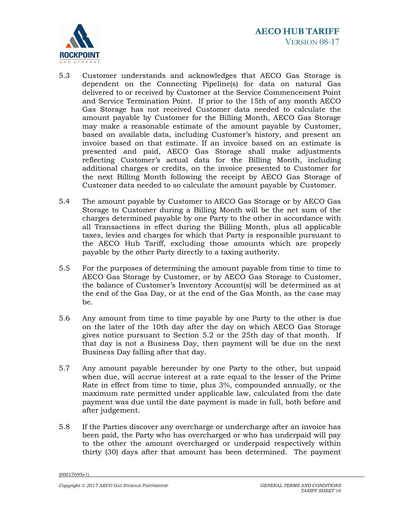

- 5.3 Customer understands and acknowledges that AECO Gas Storage is dependent on the Connecting Pipeline(s) for data on natural Gas delivered to or received by Customer at the Service Commencement Point and Service Termination Point. If prior to the 15th of any month AECO Gas Storage has not received Customer data needed to calculate the amount payable by Customer for the Billing Month, AECO Gas Storage may make a reasonable estimate of the amount payable by Customer, based on available data, including Customer's history, and present an invoice based on that estimate. If an invoice based on an estimate is presented and paid, AECO Gas Storage shall make adjustments reflecting Customer's actual data for the Billing Month, including additional charges or credits, on the invoice presented to Customer for the next Billing Month following the receipt by AECO Gas Storage of Customer data needed to so calculate the amount payable by Customer.
- 5.4 The amount payable by Customer to AECO Gas Storage or by AECO Gas Storage to Customer during a Billing Month will be the net sum of the charges determined payable by one Party to the other in accordance with all Transactions in effect during the Billing Month, plus all applicable taxes, levies and charges for which that Party is responsible pursuant to the AECO Hub Tariff, excluding those amounts which are properly payable by the other Party directly to a taxing authority.
- 5.5 For the purposes of determining the amount payable from time to time to AECO Gas Storage by Customer, or by AECO Gas Storage to Customer, the balance of Customer's Inventory Account(s) will be determined as at the end of the Gas Day, or at the end of the Gas Month, as the case may be.
- 5.6 Any amount from time to time payable by one Party to the other is due on the later of the 10th day after the day on which AECO Gas Storage gives notice pursuant to Section 5.2 or the 25th day of that month. If that day is not a Business Day, then payment will be due on the next Business Day falling after that day.
- 5.7 Any amount payable hereunder by one Party to the other, but unpaid when due, will accrue interest at a rate equal to the lesser of the Prime Rate in effect from time to time, plus 3%, compounded annually, or the maximum rate permitted under applicable law, calculated from the date payment was due until the date payment is made in full, both before and after judgement.
- 5.8 If the Parties discover any overcharge or undercharge after an invoice has been paid, the Party who has overcharged or who has underpaid will pay to the other the amount overcharged or underpaid respectively within thirty (30) days after that amount has been determined. The payment

<sup>{00017695</sup>v1}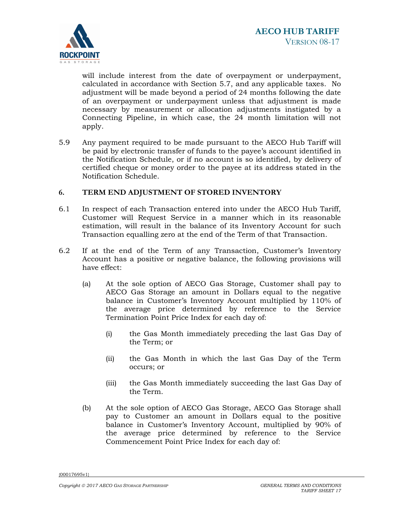

will include interest from the date of overpayment or underpayment, calculated in accordance with Section 5.7, and any applicable taxes. No adjustment will be made beyond a period of 24 months following the date of an overpayment or underpayment unless that adjustment is made necessary by measurement or allocation adjustments instigated by a Connecting Pipeline, in which case, the 24 month limitation will not apply.

5.9 Any payment required to be made pursuant to the AECO Hub Tariff will be paid by electronic transfer of funds to the payee's account identified in the Notification Schedule, or if no account is so identified, by delivery of certified cheque or money order to the payee at its address stated in the Notification Schedule.

# **6. TERM END ADJUSTMENT OF STORED INVENTORY**

- 6.1 In respect of each Transaction entered into under the AECO Hub Tariff, Customer will Request Service in a manner which in its reasonable estimation, will result in the balance of its Inventory Account for such Transaction equalling zero at the end of the Term of that Transaction.
- 6.2 If at the end of the Term of any Transaction, Customer's Inventory Account has a positive or negative balance, the following provisions will have effect:
	- (a) At the sole option of AECO Gas Storage, Customer shall pay to AECO Gas Storage an amount in Dollars equal to the negative balance in Customer's Inventory Account multiplied by 110% of the average price determined by reference to the Service Termination Point Price Index for each day of:
		- (i) the Gas Month immediately preceding the last Gas Day of the Term; or
		- (ii) the Gas Month in which the last Gas Day of the Term occurs; or
		- (iii) the Gas Month immediately succeeding the last Gas Day of the Term.
	- (b) At the sole option of AECO Gas Storage, AECO Gas Storage shall pay to Customer an amount in Dollars equal to the positive balance in Customer's Inventory Account, multiplied by 90% of the average price determined by reference to the Service Commencement Point Price Index for each day of: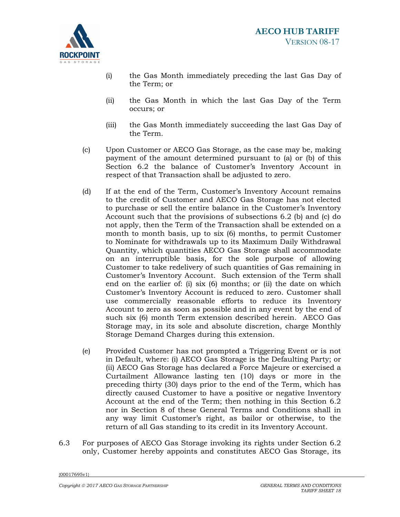

- (i) the Gas Month immediately preceding the last Gas Day of the Term; or
- (ii) the Gas Month in which the last Gas Day of the Term occurs; or
- (iii) the Gas Month immediately succeeding the last Gas Day of the Term.
- (c) Upon Customer or AECO Gas Storage, as the case may be, making payment of the amount determined pursuant to (a) or (b) of this Section 6.2 the balance of Customer's Inventory Account in respect of that Transaction shall be adjusted to zero.
- (d) If at the end of the Term, Customer's Inventory Account remains to the credit of Customer and AECO Gas Storage has not elected to purchase or sell the entire balance in the Customer's Inventory Account such that the provisions of subsections 6.2 (b) and (c) do not apply, then the Term of the Transaction shall be extended on a month to month basis, up to six (6) months, to permit Customer to Nominate for withdrawals up to its Maximum Daily Withdrawal Quantity, which quantities AECO Gas Storage shall accommodate on an interruptible basis, for the sole purpose of allowing Customer to take redelivery of such quantities of Gas remaining in Customer's Inventory Account. Such extension of the Term shall end on the earlier of: (i) six (6) months; or (ii) the date on which Customer's Inventory Account is reduced to zero. Customer shall use commercially reasonable efforts to reduce its Inventory Account to zero as soon as possible and in any event by the end of such six (6) month Term extension described herein. AECO Gas Storage may, in its sole and absolute discretion, charge Monthly Storage Demand Charges during this extension.
- (e) Provided Customer has not prompted a Triggering Event or is not in Default, where: (i) AECO Gas Storage is the Defaulting Party; or (ii) AECO Gas Storage has declared a Force Majeure or exercised a Curtailment Allowance lasting ten (10) days or more in the preceding thirty (30) days prior to the end of the Term, which has directly caused Customer to have a positive or negative Inventory Account at the end of the Term; then nothing in this Section 6.2 nor in Section 8 of these General Terms and Conditions shall in any way limit Customer's right, as bailor or otherwise, to the return of all Gas standing to its credit in its Inventory Account.
- 6.3 For purposes of AECO Gas Storage invoking its rights under Section 6.2 only, Customer hereby appoints and constitutes AECO Gas Storage, its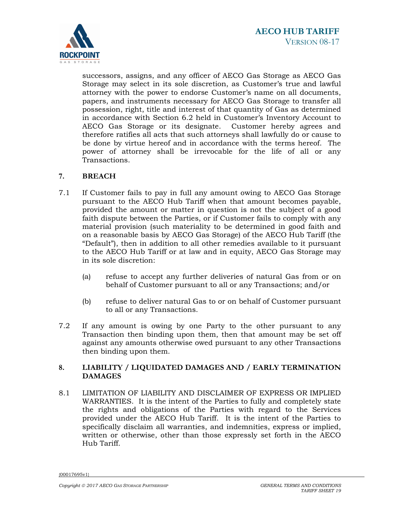

successors, assigns, and any officer of AECO Gas Storage as AECO Gas Storage may select in its sole discretion, as Customer's true and lawful attorney with the power to endorse Customer's name on all documents, papers, and instruments necessary for AECO Gas Storage to transfer all possession, right, title and interest of that quantity of Gas as determined in accordance with Section 6.2 held in Customer's Inventory Account to AECO Gas Storage or its designate. Customer hereby agrees and therefore ratifies all acts that such attorneys shall lawfully do or cause to be done by virtue hereof and in accordance with the terms hereof. The power of attorney shall be irrevocable for the life of all or any Transactions.

## **7. BREACH**

- 7.1 If Customer fails to pay in full any amount owing to AECO Gas Storage pursuant to the AECO Hub Tariff when that amount becomes payable, provided the amount or matter in question is not the subject of a good faith dispute between the Parties, or if Customer fails to comply with any material provision (such materiality to be determined in good faith and on a reasonable basis by AECO Gas Storage) of the AECO Hub Tariff (the "Default"), then in addition to all other remedies available to it pursuant to the AECO Hub Tariff or at law and in equity, AECO Gas Storage may in its sole discretion:
	- (a) refuse to accept any further deliveries of natural Gas from or on behalf of Customer pursuant to all or any Transactions; and/or
	- (b) refuse to deliver natural Gas to or on behalf of Customer pursuant to all or any Transactions.
- 7.2 If any amount is owing by one Party to the other pursuant to any Transaction then binding upon them, then that amount may be set off against any amounts otherwise owed pursuant to any other Transactions then binding upon them.

# **8. LIABILITY / LIQUIDATED DAMAGES AND / EARLY TERMINATION DAMAGES**

8.1 LIMITATION OF LIABILITY AND DISCLAIMER OF EXPRESS OR IMPLIED WARRANTIES. It is the intent of the Parties to fully and completely state the rights and obligations of the Parties with regard to the Services provided under the AECO Hub Tariff. It is the intent of the Parties to specifically disclaim all warranties, and indemnities, express or implied, written or otherwise, other than those expressly set forth in the AECO Hub Tariff.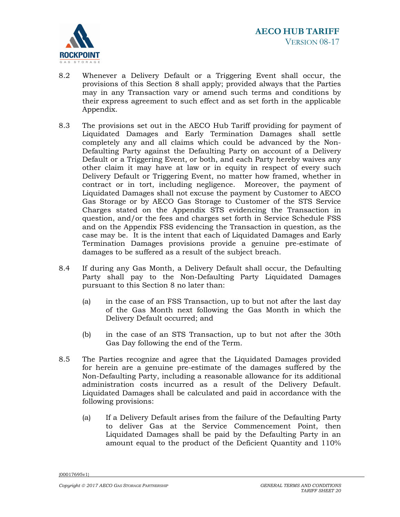

- 8.2 Whenever a Delivery Default or a Triggering Event shall occur, the provisions of this Section 8 shall apply; provided always that the Parties may in any Transaction vary or amend such terms and conditions by their express agreement to such effect and as set forth in the applicable Appendix.
- 8.3 The provisions set out in the AECO Hub Tariff providing for payment of Liquidated Damages and Early Termination Damages shall settle completely any and all claims which could be advanced by the Non-Defaulting Party against the Defaulting Party on account of a Delivery Default or a Triggering Event, or both, and each Party hereby waives any other claim it may have at law or in equity in respect of every such Delivery Default or Triggering Event, no matter how framed, whether in contract or in tort, including negligence. Moreover, the payment of Liquidated Damages shall not excuse the payment by Customer to AECO Gas Storage or by AECO Gas Storage to Customer of the STS Service Charges stated on the Appendix STS evidencing the Transaction in question, and/or the fees and charges set forth in Service Schedule FSS and on the Appendix FSS evidencing the Transaction in question, as the case may be. It is the intent that each of Liquidated Damages and Early Termination Damages provisions provide a genuine pre-estimate of damages to be suffered as a result of the subject breach.
- 8.4 If during any Gas Month, a Delivery Default shall occur, the Defaulting Party shall pay to the Non-Defaulting Party Liquidated Damages pursuant to this Section 8 no later than:
	- (a) in the case of an FSS Transaction, up to but not after the last day of the Gas Month next following the Gas Month in which the Delivery Default occurred; and
	- (b) in the case of an STS Transaction, up to but not after the 30th Gas Day following the end of the Term.
- 8.5 The Parties recognize and agree that the Liquidated Damages provided for herein are a genuine pre-estimate of the damages suffered by the Non-Defaulting Party, including a reasonable allowance for its additional administration costs incurred as a result of the Delivery Default. Liquidated Damages shall be calculated and paid in accordance with the following provisions:
	- (a) If a Delivery Default arises from the failure of the Defaulting Party to deliver Gas at the Service Commencement Point, then Liquidated Damages shall be paid by the Defaulting Party in an amount equal to the product of the Deficient Quantity and 110%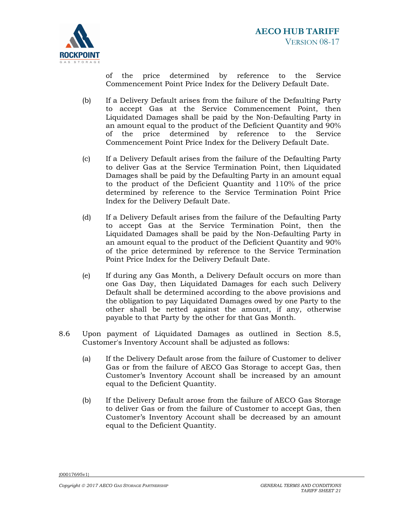

of the price determined by reference to the Service Commencement Point Price Index for the Delivery Default Date.

- (b) If a Delivery Default arises from the failure of the Defaulting Party to accept Gas at the Service Commencement Point, then Liquidated Damages shall be paid by the Non-Defaulting Party in an amount equal to the product of the Deficient Quantity and 90% of the price determined by reference to the Service Commencement Point Price Index for the Delivery Default Date.
- (c) If a Delivery Default arises from the failure of the Defaulting Party to deliver Gas at the Service Termination Point, then Liquidated Damages shall be paid by the Defaulting Party in an amount equal to the product of the Deficient Quantity and 110% of the price determined by reference to the Service Termination Point Price Index for the Delivery Default Date.
- (d) If a Delivery Default arises from the failure of the Defaulting Party to accept Gas at the Service Termination Point, then the Liquidated Damages shall be paid by the Non-Defaulting Party in an amount equal to the product of the Deficient Quantity and 90% of the price determined by reference to the Service Termination Point Price Index for the Delivery Default Date.
- (e) If during any Gas Month, a Delivery Default occurs on more than one Gas Day, then Liquidated Damages for each such Delivery Default shall be determined according to the above provisions and the obligation to pay Liquidated Damages owed by one Party to the other shall be netted against the amount, if any, otherwise payable to that Party by the other for that Gas Month.
- 8.6 Upon payment of Liquidated Damages as outlined in Section 8.5, Customer's Inventory Account shall be adjusted as follows:
	- (a) If the Delivery Default arose from the failure of Customer to deliver Gas or from the failure of AECO Gas Storage to accept Gas, then Customer's Inventory Account shall be increased by an amount equal to the Deficient Quantity.
	- (b) If the Delivery Default arose from the failure of AECO Gas Storage to deliver Gas or from the failure of Customer to accept Gas, then Customer's Inventory Account shall be decreased by an amount equal to the Deficient Quantity.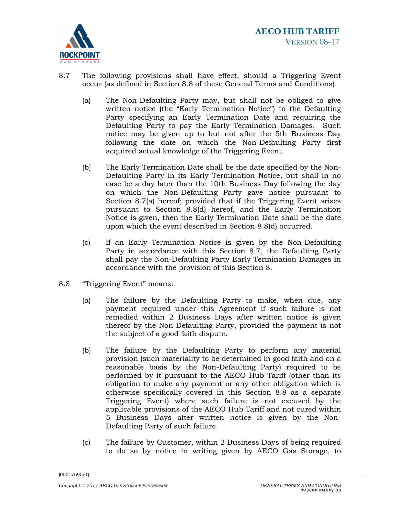

- 8.7 The following provisions shall have effect, should a Triggering Event occur (as defined in Section 8.8 of these General Terms and Conditions).
	- (a) The Non-Defaulting Party may, but shall not be obliged to give written notice (the "Early Termination Notice") to the Defaulting Party specifying an Early Termination Date and requiring the Defaulting Party to pay the Early Termination Damages. Such notice may be given up to but not after the 5th Business Day following the date on which the Non-Defaulting Party first acquired actual knowledge of the Triggering Event.
	- (b) The Early Termination Date shall be the date specified by the Non-Defaulting Party in its Early Termination Notice, but shall in no case be a day later than the 10th Business Day following the day on which the Non-Defaulting Party gave notice pursuant to Section 8.7(a) hereof; provided that if the Triggering Event arises pursuant to Section 8.8(d) hereof, and the Early Termination Notice is given, then the Early Termination Date shall be the date upon which the event described in Section 8.8(d) occurred.
	- (c) If an Early Termination Notice is given by the Non-Defaulting Party in accordance with this Section 8.7, the Defaulting Party shall pay the Non-Defaulting Party Early Termination Damages in accordance with the provision of this Section 8.
- 8.8 "Triggering Event" means:
	- (a) The failure by the Defaulting Party to make, when due, any payment required under this Agreement if such failure is not remedied within 2 Business Days after written notice is given thereof by the Non-Defaulting Party, provided the payment is not the subject of a good faith dispute.
	- (b) The failure by the Defaulting Party to perform any material provision (such materiality to be determined in good faith and on a reasonable basis by the Non-Defaulting Party) required to be performed by it pursuant to the AECO Hub Tariff (other than its obligation to make any payment or any other obligation which is otherwise specifically covered in this Section 8.8 as a separate Triggering Event) where such failure is not excused by the applicable provisions of the AECO Hub Tariff and not cured within 5 Business Days after written notice is given by the Non-Defaulting Party of such failure.
	- (c) The failure by Customer, within 2 Business Days of being required to do so by notice in writing given by AECO Gas Storage, to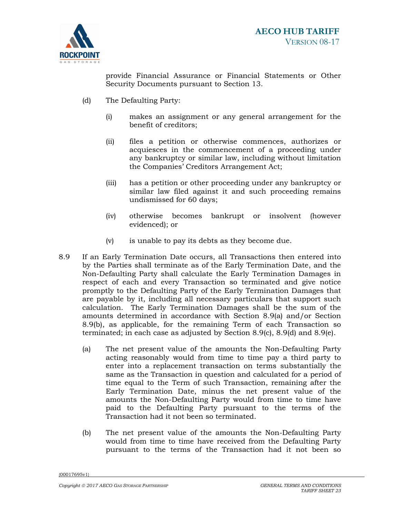

provide Financial Assurance or Financial Statements or Other Security Documents pursuant to Section 13.

- (d) The Defaulting Party:
	- (i) makes an assignment or any general arrangement for the benefit of creditors;
	- (ii) files a petition or otherwise commences, authorizes or acquiesces in the commencement of a proceeding under any bankruptcy or similar law, including without limitation the Companies' Creditors Arrangement Act;
	- (iii) has a petition or other proceeding under any bankruptcy or similar law filed against it and such proceeding remains undismissed for 60 days;
	- (iv) otherwise becomes bankrupt or insolvent (however evidenced); or
	- (v) is unable to pay its debts as they become due.
- 8.9 If an Early Termination Date occurs, all Transactions then entered into by the Parties shall terminate as of the Early Termination Date, and the Non-Defaulting Party shall calculate the Early Termination Damages in respect of each and every Transaction so terminated and give notice promptly to the Defaulting Party of the Early Termination Damages that are payable by it, including all necessary particulars that support such calculation. The Early Termination Damages shall be the sum of the amounts determined in accordance with Section 8.9(a) and/or Section 8.9(b), as applicable, for the remaining Term of each Transaction so terminated; in each case as adjusted by Section 8.9(c), 8.9(d) and 8.9(e).
	- (a) The net present value of the amounts the Non-Defaulting Party acting reasonably would from time to time pay a third party to enter into a replacement transaction on terms substantially the same as the Transaction in question and calculated for a period of time equal to the Term of such Transaction, remaining after the Early Termination Date, minus the net present value of the amounts the Non-Defaulting Party would from time to time have paid to the Defaulting Party pursuant to the terms of the Transaction had it not been so terminated.
	- (b) The net present value of the amounts the Non-Defaulting Party would from time to time have received from the Defaulting Party pursuant to the terms of the Transaction had it not been so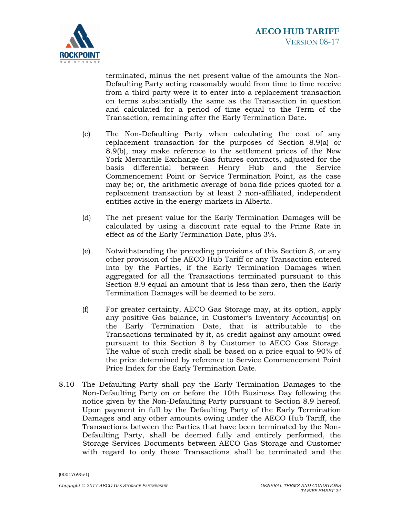

terminated, minus the net present value of the amounts the Non-Defaulting Party acting reasonably would from time to time receive from a third party were it to enter into a replacement transaction on terms substantially the same as the Transaction in question and calculated for a period of time equal to the Term of the Transaction, remaining after the Early Termination Date.

- (c) The Non-Defaulting Party when calculating the cost of any replacement transaction for the purposes of Section 8.9(a) or 8.9(b), may make reference to the settlement prices of the New York Mercantile Exchange Gas futures contracts, adjusted for the basis differential between Henry Hub and the Service Commencement Point or Service Termination Point, as the case may be; or, the arithmetic average of bona fide prices quoted for a replacement transaction by at least 2 non-affiliated, independent entities active in the energy markets in Alberta.
- (d) The net present value for the Early Termination Damages will be calculated by using a discount rate equal to the Prime Rate in effect as of the Early Termination Date, plus 3%.
- (e) Notwithstanding the preceding provisions of this Section 8, or any other provision of the AECO Hub Tariff or any Transaction entered into by the Parties, if the Early Termination Damages when aggregated for all the Transactions terminated pursuant to this Section 8.9 equal an amount that is less than zero, then the Early Termination Damages will be deemed to be zero.
- (f) For greater certainty, AECO Gas Storage may, at its option, apply any positive Gas balance, in Customer's Inventory Account(s) on the Early Termination Date, that is attributable to the Transactions terminated by it, as credit against any amount owed pursuant to this Section 8 by Customer to AECO Gas Storage. The value of such credit shall be based on a price equal to 90% of the price determined by reference to Service Commencement Point Price Index for the Early Termination Date.
- 8.10 The Defaulting Party shall pay the Early Termination Damages to the Non-Defaulting Party on or before the 10th Business Day following the notice given by the Non-Defaulting Party pursuant to Section 8.9 hereof. Upon payment in full by the Defaulting Party of the Early Termination Damages and any other amounts owing under the AECO Hub Tariff, the Transactions between the Parties that have been terminated by the Non-Defaulting Party, shall be deemed fully and entirely performed, the Storage Services Documents between AECO Gas Storage and Customer with regard to only those Transactions shall be terminated and the

<sup>{00017695</sup>v1}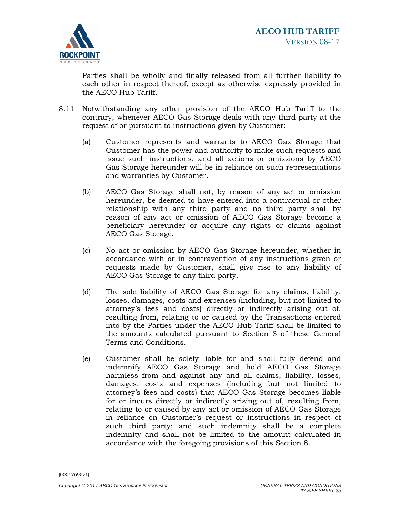

Parties shall be wholly and finally released from all further liability to each other in respect thereof, except as otherwise expressly provided in the AECO Hub Tariff.

- 8.11 Notwithstanding any other provision of the AECO Hub Tariff to the contrary, whenever AECO Gas Storage deals with any third party at the request of or pursuant to instructions given by Customer:
	- (a) Customer represents and warrants to AECO Gas Storage that Customer has the power and authority to make such requests and issue such instructions, and all actions or omissions by AECO Gas Storage hereunder will be in reliance on such representations and warranties by Customer.
	- (b) AECO Gas Storage shall not, by reason of any act or omission hereunder, be deemed to have entered into a contractual or other relationship with any third party and no third party shall by reason of any act or omission of AECO Gas Storage become a beneficiary hereunder or acquire any rights or claims against AECO Gas Storage.
	- (c) No act or omission by AECO Gas Storage hereunder, whether in accordance with or in contravention of any instructions given or requests made by Customer, shall give rise to any liability of AECO Gas Storage to any third party.
	- (d) The sole liability of AECO Gas Storage for any claims, liability, losses, damages, costs and expenses (including, but not limited to attorney's fees and costs) directly or indirectly arising out of, resulting from, relating to or caused by the Transactions entered into by the Parties under the AECO Hub Tariff shall be limited to the amounts calculated pursuant to Section 8 of these General Terms and Conditions.
	- (e) Customer shall be solely liable for and shall fully defend and indemnify AECO Gas Storage and hold AECO Gas Storage harmless from and against any and all claims, liability, losses, damages, costs and expenses (including but not limited to attorney's fees and costs) that AECO Gas Storage becomes liable for or incurs directly or indirectly arising out of, resulting from, relating to or caused by any act or omission of AECO Gas Storage in reliance on Customer's request or instructions in respect of such third party; and such indemnity shall be a complete indemnity and shall not be limited to the amount calculated in accordance with the foregoing provisions of this Section 8.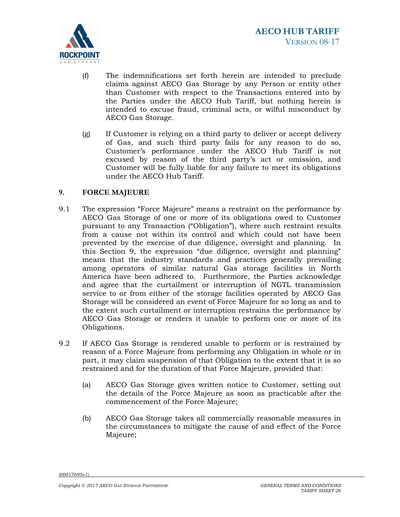

- (f) The indemnifications set forth herein are intended to preclude claims against AECO Gas Storage by any Person or entity other than Customer with respect to the Transactions entered into by the Parties under the AECO Hub Tariff, but nothing herein is intended to excuse fraud, criminal acts, or wilful misconduct by AECO Gas Storage.
- (g) If Customer is relying on a third party to deliver or accept delivery of Gas, and such third party fails for any reason to do so, Customer's performance under the AECO Hub Tariff is not excused by reason of the third party's act or omission, and Customer will be fully liable for any failure to meet its obligations under the AECO Hub Tariff.

# **9. FORCE MAJEURE**

- 9.1 The expression "Force Majeure" means a restraint on the performance by AECO Gas Storage of one or more of its obligations owed to Customer pursuant to any Transaction ("Obligation"), where such restraint results from a cause not within its control and which could not have been prevented by the exercise of due diligence, oversight and planning. In this Section 9, the expression "due diligence, oversight and planning" means that the industry standards and practices generally prevailing among operators of similar natural Gas storage facilities in North America have been adhered to. Furthermore, the Parties acknowledge and agree that the curtailment or interruption of NGTL transmission service to or from either of the storage facilities operated by AECO Gas Storage will be considered an event of Force Majeure for so long as and to the extent such curtailment or interruption restrains the performance by AECO Gas Storage or renders it unable to perform one or more of its Obligations.
- 9.2 If AECO Gas Storage is rendered unable to perform or is restrained by reason of a Force Majeure from performing any Obligation in whole or in part, it may claim suspension of that Obligation to the extent that it is so restrained and for the duration of that Force Majeure, provided that:
	- (a) AECO Gas Storage gives written notice to Customer, setting out the details of the Force Majeure as soon as practicable after the commencement of the Force Majeure;
	- (b) AECO Gas Storage takes all commercially reasonable measures in the circumstances to mitigate the cause of and effect of the Force Majeure;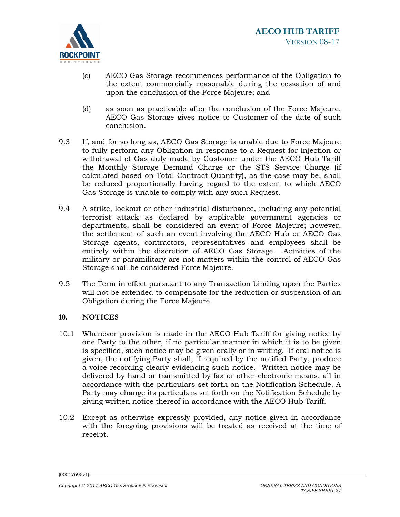

- (c) AECO Gas Storage recommences performance of the Obligation to the extent commercially reasonable during the cessation of and upon the conclusion of the Force Majeure; and
- (d) as soon as practicable after the conclusion of the Force Majeure, AECO Gas Storage gives notice to Customer of the date of such conclusion.
- 9.3 If, and for so long as, AECO Gas Storage is unable due to Force Majeure to fully perform any Obligation in response to a Request for injection or withdrawal of Gas duly made by Customer under the AECO Hub Tariff the Monthly Storage Demand Charge or the STS Service Charge (if calculated based on Total Contract Quantity), as the case may be, shall be reduced proportionally having regard to the extent to which AECO Gas Storage is unable to comply with any such Request.
- 9.4 A strike, lockout or other industrial disturbance, including any potential terrorist attack as declared by applicable government agencies or departments, shall be considered an event of Force Majeure; however, the settlement of such an event involving the AECO Hub or AECO Gas Storage agents, contractors, representatives and employees shall be entirely within the discretion of AECO Gas Storage. Activities of the military or paramilitary are not matters within the control of AECO Gas Storage shall be considered Force Majeure.
- 9.5 The Term in effect pursuant to any Transaction binding upon the Parties will not be extended to compensate for the reduction or suspension of an Obligation during the Force Majeure.

## **10. NOTICES**

- 10.1 Whenever provision is made in the AECO Hub Tariff for giving notice by one Party to the other, if no particular manner in which it is to be given is specified, such notice may be given orally or in writing. If oral notice is given, the notifying Party shall, if required by the notified Party, produce a voice recording clearly evidencing such notice. Written notice may be delivered by hand or transmitted by fax or other electronic means, all in accordance with the particulars set forth on the Notification Schedule. A Party may change its particulars set forth on the Notification Schedule by giving written notice thereof in accordance with the AECO Hub Tariff.
- 10.2 Except as otherwise expressly provided, any notice given in accordance with the foregoing provisions will be treated as received at the time of receipt.

<sup>{00017695</sup>v1}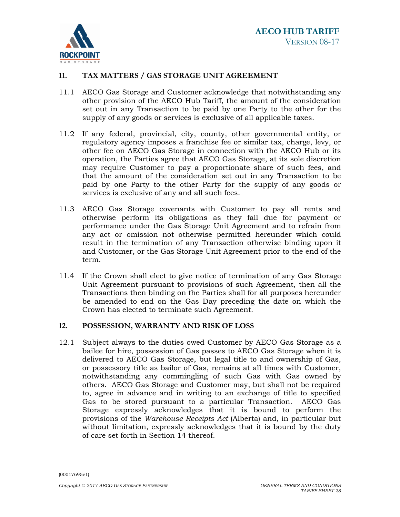

## **11. TAX MATTERS / GAS STORAGE UNIT AGREEMENT**

- 11.1 AECO Gas Storage and Customer acknowledge that notwithstanding any other provision of the AECO Hub Tariff, the amount of the consideration set out in any Transaction to be paid by one Party to the other for the supply of any goods or services is exclusive of all applicable taxes.
- 11.2 If any federal, provincial, city, county, other governmental entity, or regulatory agency imposes a franchise fee or similar tax, charge, levy, or other fee on AECO Gas Storage in connection with the AECO Hub or its operation, the Parties agree that AECO Gas Storage, at its sole discretion may require Customer to pay a proportionate share of such fees, and that the amount of the consideration set out in any Transaction to be paid by one Party to the other Party for the supply of any goods or services is exclusive of any and all such fees.
- 11.3 AECO Gas Storage covenants with Customer to pay all rents and otherwise perform its obligations as they fall due for payment or performance under the Gas Storage Unit Agreement and to refrain from any act or omission not otherwise permitted hereunder which could result in the termination of any Transaction otherwise binding upon it and Customer, or the Gas Storage Unit Agreement prior to the end of the term.
- 11.4 If the Crown shall elect to give notice of termination of any Gas Storage Unit Agreement pursuant to provisions of such Agreement, then all the Transactions then binding on the Parties shall for all purposes hereunder be amended to end on the Gas Day preceding the date on which the Crown has elected to terminate such Agreement.

## **12. POSSESSION, WARRANTY AND RISK OF LOSS**

12.1 Subject always to the duties owed Customer by AECO Gas Storage as a bailee for hire, possession of Gas passes to AECO Gas Storage when it is delivered to AECO Gas Storage, but legal title to and ownership of Gas, or possessory title as bailor of Gas, remains at all times with Customer, notwithstanding any commingling of such Gas with Gas owned by others. AECO Gas Storage and Customer may, but shall not be required to, agree in advance and in writing to an exchange of title to specified Gas to be stored pursuant to a particular Transaction. AECO Gas Storage expressly acknowledges that it is bound to perform the provisions of the *Warehouse Receipts Act* (Alberta) and, in particular but without limitation, expressly acknowledges that it is bound by the duty of care set forth in Section 14 thereof.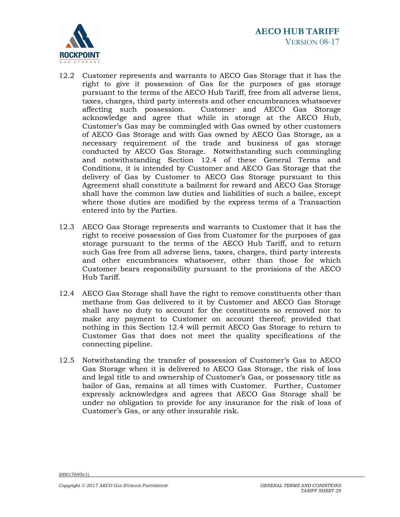

- 12.2 Customer represents and warrants to AECO Gas Storage that it has the right to give it possession of Gas for the purposes of gas storage pursuant to the terms of the AECO Hub Tariff, free from all adverse liens, taxes, charges, third party interests and other encumbrances whatsoever affecting such possession. Customer and AECO Gas Storage acknowledge and agree that while in storage at the AECO Hub, Customer's Gas may be commingled with Gas owned by other customers of AECO Gas Storage and with Gas owned by AECO Gas Storage, as a necessary requirement of the trade and business of gas storage conducted by AECO Gas Storage. Notwithstanding such commingling and notwithstanding Section 12.4 of these General Terms and Conditions, it is intended by Customer and AECO Gas Storage that the delivery of Gas by Customer to AECO Gas Storage pursuant to this Agreement shall constitute a bailment for reward and AECO Gas Storage shall have the common law duties and liabilities of such a bailee, except where those duties are modified by the express terms of a Transaction entered into by the Parties.
- 12.3 AECO Gas Storage represents and warrants to Customer that it has the right to receive possession of Gas from Customer for the purposes of gas storage pursuant to the terms of the AECO Hub Tariff, and to return such Gas free from all adverse liens, taxes, charges, third party interests and other encumbrances whatsoever, other than those for which Customer bears responsibility pursuant to the provisions of the AECO Hub Tariff.
- 12.4 AECO Gas Storage shall have the right to remove constituents other than methane from Gas delivered to it by Customer and AECO Gas Storage shall have no duty to account for the constituents so removed nor to make any payment to Customer on account thereof; provided that nothing in this Section 12.4 will permit AECO Gas Storage to return to Customer Gas that does not meet the quality specifications of the connecting pipeline.
- 12.5 Notwithstanding the transfer of possession of Customer's Gas to AECO Gas Storage when it is delivered to AECO Gas Storage, the risk of loss and legal title to and ownership of Customer's Gas, or possessory title as bailor of Gas, remains at all times with Customer. Further, Customer expressly acknowledges and agrees that AECO Gas Storage shall be under no obligation to provide for any insurance for the risk of loss of Customer's Gas, or any other insurable risk.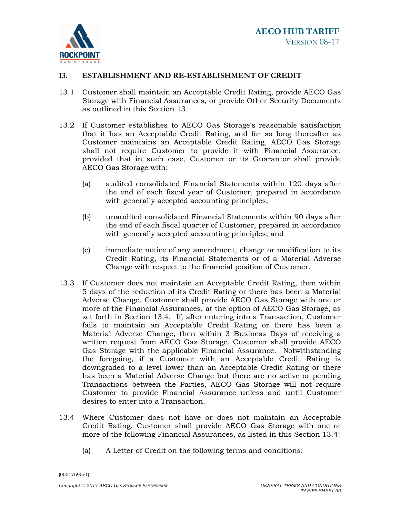

# **13. ESTABLISHMENT AND RE-ESTABLISHMENT OF CREDIT**

- 13.1 Customer shall maintain an Acceptable Credit Rating, provide AECO Gas Storage with Financial Assurances, or provide Other Security Documents as outlined in this Section 13.
- 13.2 If Customer establishes to AECO Gas Storage's reasonable satisfaction that it has an Acceptable Credit Rating, and for so long thereafter as Customer maintains an Acceptable Credit Rating, AECO Gas Storage shall not require Customer to provide it with Financial Assurance; provided that in such case, Customer or its Guarantor shall provide AECO Gas Storage with:
	- (a) audited consolidated Financial Statements within 120 days after the end of each fiscal year of Customer, prepared in accordance with generally accepted accounting principles;
	- (b) unaudited consolidated Financial Statements within 90 days after the end of each fiscal quarter of Customer, prepared in accordance with generally accepted accounting principles; and
	- (c) immediate notice of any amendment, change or modification to its Credit Rating, its Financial Statements or of a Material Adverse Change with respect to the financial position of Customer.
- 13.3 If Customer does not maintain an Acceptable Credit Rating, then within 5 days of the reduction of its Credit Rating or there has been a Material Adverse Change, Customer shall provide AECO Gas Storage with one or more of the Financial Assurances, at the option of AECO Gas Storage, as set forth in Section 13.4. If, after entering into a Transaction, Customer fails to maintain an Acceptable Credit Rating or there has been a Material Adverse Change, then within 3 Business Days of receiving a written request from AECO Gas Storage, Customer shall provide AECO Gas Storage with the applicable Financial Assurance. Notwithstanding the foregoing, if a Customer with an Acceptable Credit Rating is downgraded to a level lower than an Acceptable Credit Rating or there has been a Material Adverse Change but there are no active or pending Transactions between the Parties, AECO Gas Storage will not require Customer to provide Financial Assurance unless and until Customer desires to enter into a Transaction.
- 13.4 Where Customer does not have or does not maintain an Acceptable Credit Rating, Customer shall provide AECO Gas Storage with one or more of the following Financial Assurances, as listed in this Section 13.4:
	- (a) A Letter of Credit on the following terms and conditions: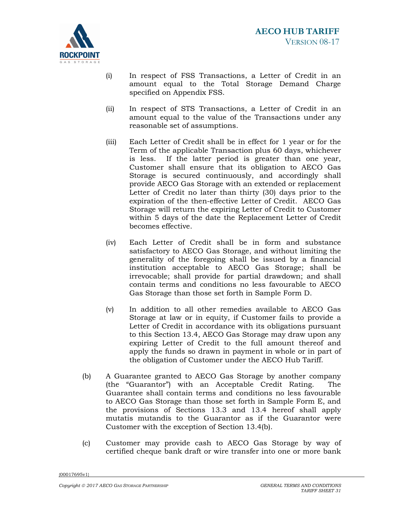

- (i) In respect of FSS Transactions, a Letter of Credit in an amount equal to the Total Storage Demand Charge specified on Appendix FSS.
- (ii) In respect of STS Transactions, a Letter of Credit in an amount equal to the value of the Transactions under any reasonable set of assumptions.
- (iii) Each Letter of Credit shall be in effect for 1 year or for the Term of the applicable Transaction plus 60 days, whichever is less. If the latter period is greater than one year, Customer shall ensure that its obligation to AECO Gas Storage is secured continuously, and accordingly shall provide AECO Gas Storage with an extended or replacement Letter of Credit no later than thirty (30) days prior to the expiration of the then-effective Letter of Credit. AECO Gas Storage will return the expiring Letter of Credit to Customer within 5 days of the date the Replacement Letter of Credit becomes effective.
- (iv) Each Letter of Credit shall be in form and substance satisfactory to AECO Gas Storage, and without limiting the generality of the foregoing shall be issued by a financial institution acceptable to AECO Gas Storage; shall be irrevocable; shall provide for partial drawdown; and shall contain terms and conditions no less favourable to AECO Gas Storage than those set forth in Sample Form D.
- (v) In addition to all other remedies available to AECO Gas Storage at law or in equity, if Customer fails to provide a Letter of Credit in accordance with its obligations pursuant to this Section 13.4, AECO Gas Storage may draw upon any expiring Letter of Credit to the full amount thereof and apply the funds so drawn in payment in whole or in part of the obligation of Customer under the AECO Hub Tariff.
- (b) A Guarantee granted to AECO Gas Storage by another company (the "Guarantor") with an Acceptable Credit Rating. The Guarantee shall contain terms and conditions no less favourable to AECO Gas Storage than those set forth in Sample Form E, and the provisions of Sections 13.3 and 13.4 hereof shall apply mutatis mutandis to the Guarantor as if the Guarantor were Customer with the exception of Section 13.4(b).
- (c) Customer may provide cash to AECO Gas Storage by way of certified cheque bank draft or wire transfer into one or more bank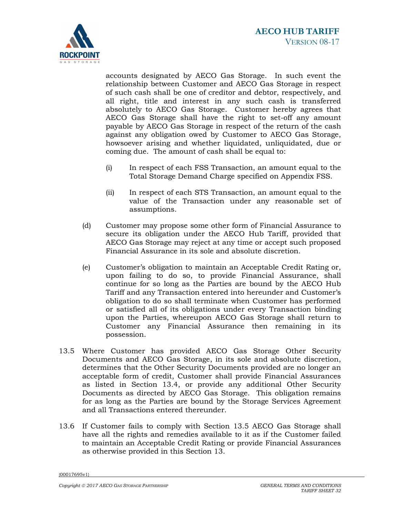

accounts designated by AECO Gas Storage. In such event the relationship between Customer and AECO Gas Storage in respect of such cash shall be one of creditor and debtor, respectively, and all right, title and interest in any such cash is transferred absolutely to AECO Gas Storage. Customer hereby agrees that AECO Gas Storage shall have the right to set-off any amount payable by AECO Gas Storage in respect of the return of the cash against any obligation owed by Customer to AECO Gas Storage, howsoever arising and whether liquidated, unliquidated, due or coming due. The amount of cash shall be equal to:

- (i) In respect of each FSS Transaction, an amount equal to the Total Storage Demand Charge specified on Appendix FSS.
- (ii) In respect of each STS Transaction, an amount equal to the value of the Transaction under any reasonable set of assumptions.
- (d) Customer may propose some other form of Financial Assurance to secure its obligation under the AECO Hub Tariff, provided that AECO Gas Storage may reject at any time or accept such proposed Financial Assurance in its sole and absolute discretion.
- (e) Customer's obligation to maintain an Acceptable Credit Rating or, upon failing to do so, to provide Financial Assurance, shall continue for so long as the Parties are bound by the AECO Hub Tariff and any Transaction entered into hereunder and Customer's obligation to do so shall terminate when Customer has performed or satisfied all of its obligations under every Transaction binding upon the Parties, whereupon AECO Gas Storage shall return to Customer any Financial Assurance then remaining in its possession.
- 13.5 Where Customer has provided AECO Gas Storage Other Security Documents and AECO Gas Storage, in its sole and absolute discretion, determines that the Other Security Documents provided are no longer an acceptable form of credit, Customer shall provide Financial Assurances as listed in Section 13.4, or provide any additional Other Security Documents as directed by AECO Gas Storage. This obligation remains for as long as the Parties are bound by the Storage Services Agreement and all Transactions entered thereunder.
- 13.6 If Customer fails to comply with Section 13.5 AECO Gas Storage shall have all the rights and remedies available to it as if the Customer failed to maintain an Acceptable Credit Rating or provide Financial Assurances as otherwise provided in this Section 13.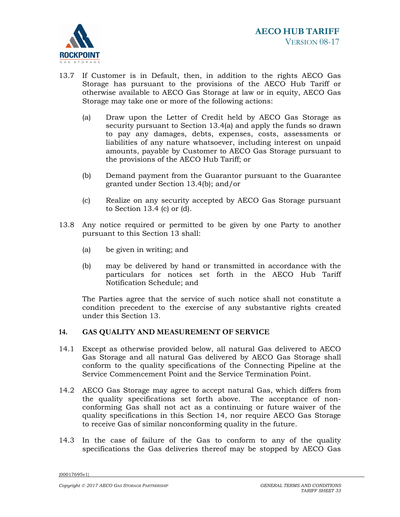

- 13.7 If Customer is in Default, then, in addition to the rights AECO Gas Storage has pursuant to the provisions of the AECO Hub Tariff or otherwise available to AECO Gas Storage at law or in equity, AECO Gas Storage may take one or more of the following actions:
	- (a) Draw upon the Letter of Credit held by AECO Gas Storage as security pursuant to Section 13.4(a) and apply the funds so drawn to pay any damages, debts, expenses, costs, assessments or liabilities of any nature whatsoever, including interest on unpaid amounts, payable by Customer to AECO Gas Storage pursuant to the provisions of the AECO Hub Tariff; or
	- (b) Demand payment from the Guarantor pursuant to the Guarantee granted under Section 13.4(b); and/or
	- (c) Realize on any security accepted by AECO Gas Storage pursuant to Section 13.4 (c) or (d).
- 13.8 Any notice required or permitted to be given by one Party to another pursuant to this Section 13 shall:
	- (a) be given in writing; and
	- (b) may be delivered by hand or transmitted in accordance with the particulars for notices set forth in the AECO Hub Tariff Notification Schedule; and

The Parties agree that the service of such notice shall not constitute a condition precedent to the exercise of any substantive rights created under this Section 13.

# **14. GAS QUALITY AND MEASUREMENT OF SERVICE**

- 14.1 Except as otherwise provided below, all natural Gas delivered to AECO Gas Storage and all natural Gas delivered by AECO Gas Storage shall conform to the quality specifications of the Connecting Pipeline at the Service Commencement Point and the Service Termination Point.
- 14.2 AECO Gas Storage may agree to accept natural Gas, which differs from the quality specifications set forth above. The acceptance of nonconforming Gas shall not act as a continuing or future waiver of the quality specifications in this Section 14, nor require AECO Gas Storage to receive Gas of similar nonconforming quality in the future.
- 14.3 In the case of failure of the Gas to conform to any of the quality specifications the Gas deliveries thereof may be stopped by AECO Gas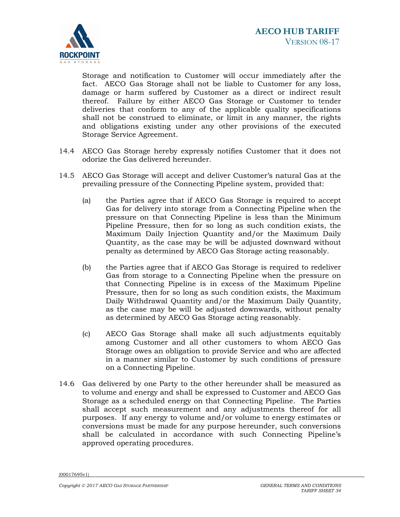

Storage and notification to Customer will occur immediately after the fact. AECO Gas Storage shall not be liable to Customer for any loss, damage or harm suffered by Customer as a direct or indirect result thereof. Failure by either AECO Gas Storage or Customer to tender deliveries that conform to any of the applicable quality specifications shall not be construed to eliminate, or limit in any manner, the rights and obligations existing under any other provisions of the executed Storage Service Agreement.

- 14.4 AECO Gas Storage hereby expressly notifies Customer that it does not odorize the Gas delivered hereunder.
- 14.5 AECO Gas Storage will accept and deliver Customer's natural Gas at the prevailing pressure of the Connecting Pipeline system, provided that:
	- (a) the Parties agree that if AECO Gas Storage is required to accept Gas for delivery into storage from a Connecting Pipeline when the pressure on that Connecting Pipeline is less than the Minimum Pipeline Pressure, then for so long as such condition exists, the Maximum Daily Injection Quantity and/or the Maximum Daily Quantity, as the case may be will be adjusted downward without penalty as determined by AECO Gas Storage acting reasonably.
	- (b) the Parties agree that if AECO Gas Storage is required to redeliver Gas from storage to a Connecting Pipeline when the pressure on that Connecting Pipeline is in excess of the Maximum Pipeline Pressure, then for so long as such condition exists, the Maximum Daily Withdrawal Quantity and/or the Maximum Daily Quantity, as the case may be will be adjusted downwards, without penalty as determined by AECO Gas Storage acting reasonably.
	- (c) AECO Gas Storage shall make all such adjustments equitably among Customer and all other customers to whom AECO Gas Storage owes an obligation to provide Service and who are affected in a manner similar to Customer by such conditions of pressure on a Connecting Pipeline.
- 14.6 Gas delivered by one Party to the other hereunder shall be measured as to volume and energy and shall be expressed to Customer and AECO Gas Storage as a scheduled energy on that Connecting Pipeline. The Parties shall accept such measurement and any adjustments thereof for all purposes. If any energy to volume and/or volume to energy estimates or conversions must be made for any purpose hereunder, such conversions shall be calculated in accordance with such Connecting Pipeline's approved operating procedures.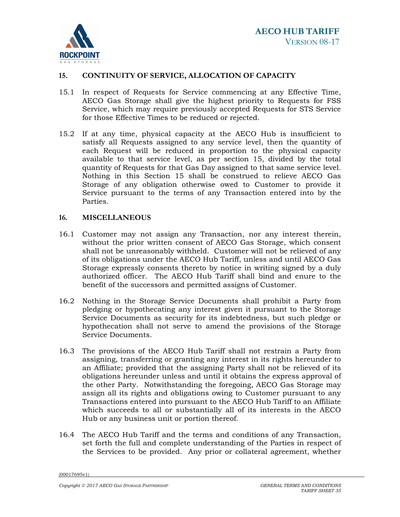

# **15. CONTINUITY OF SERVICE, ALLOCATION OF CAPACITY**

- 15.1 In respect of Requests for Service commencing at any Effective Time, AECO Gas Storage shall give the highest priority to Requests for FSS Service, which may require previously accepted Requests for STS Service for those Effective Times to be reduced or rejected.
- 15.2 If at any time, physical capacity at the AECO Hub is insufficient to satisfy all Requests assigned to any service level, then the quantity of each Request will be reduced in proportion to the physical capacity available to that service level, as per section 15, divided by the total quantity of Requests for that Gas Day assigned to that same service level. Nothing in this Section 15 shall be construed to relieve AECO Gas Storage of any obligation otherwise owed to Customer to provide it Service pursuant to the terms of any Transaction entered into by the Parties.

## **16. MISCELLANEOUS**

- 16.1 Customer may not assign any Transaction, nor any interest therein, without the prior written consent of AECO Gas Storage, which consent shall not be unreasonably withheld. Customer will not be relieved of any of its obligations under the AECO Hub Tariff, unless and until AECO Gas Storage expressly consents thereto by notice in writing signed by a duly authorized officer. The AECO Hub Tariff shall bind and enure to the benefit of the successors and permitted assigns of Customer.
- 16.2 Nothing in the Storage Service Documents shall prohibit a Party from pledging or hypothecating any interest given it pursuant to the Storage Service Documents as security for its indebtedness, but such pledge or hypothecation shall not serve to amend the provisions of the Storage Service Documents.
- 16.3 The provisions of the AECO Hub Tariff shall not restrain a Party from assigning, transferring or granting any interest in its rights hereunder to an Affiliate; provided that the assigning Party shall not be relieved of its obligations hereunder unless and until it obtains the express approval of the other Party. Notwithstanding the foregoing, AECO Gas Storage may assign all its rights and obligations owing to Customer pursuant to any Transactions entered into pursuant to the AECO Hub Tariff to an Affiliate which succeeds to all or substantially all of its interests in the AECO Hub or any business unit or portion thereof.
- 16.4 The AECO Hub Tariff and the terms and conditions of any Transaction, set forth the full and complete understanding of the Parties in respect of the Services to be provided. Any prior or collateral agreement, whether

<sup>{00017695</sup>v1}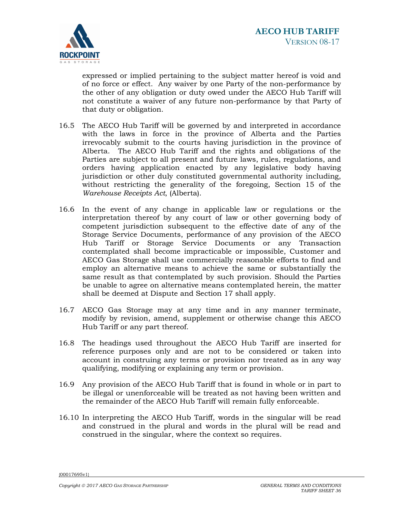

expressed or implied pertaining to the subject matter hereof is void and of no force or effect. Any waiver by one Party of the non-performance by the other of any obligation or duty owed under the AECO Hub Tariff will not constitute a waiver of any future non-performance by that Party of that duty or obligation.

- 16.5 The AECO Hub Tariff will be governed by and interpreted in accordance with the laws in force in the province of Alberta and the Parties irrevocably submit to the courts having jurisdiction in the province of Alberta. The AECO Hub Tariff and the rights and obligations of the Parties are subject to all present and future laws, rules, regulations, and orders having application enacted by any legislative body having jurisdiction or other duly constituted governmental authority including, without restricting the generality of the foregoing, Section 15 of the *Warehouse Receipts Act*, (Alberta).
- 16.6 In the event of any change in applicable law or regulations or the interpretation thereof by any court of law or other governing body of competent jurisdiction subsequent to the effective date of any of the Storage Service Documents, performance of any provision of the AECO Hub Tariff or Storage Service Documents or any Transaction contemplated shall become impracticable or impossible, Customer and AECO Gas Storage shall use commercially reasonable efforts to find and employ an alternative means to achieve the same or substantially the same result as that contemplated by such provision. Should the Parties be unable to agree on alternative means contemplated herein, the matter shall be deemed at Dispute and Section 17 shall apply.
- 16.7 AECO Gas Storage may at any time and in any manner terminate, modify by revision, amend, supplement or otherwise change this AECO Hub Tariff or any part thereof.
- 16.8 The headings used throughout the AECO Hub Tariff are inserted for reference purposes only and are not to be considered or taken into account in construing any terms or provision nor treated as in any way qualifying, modifying or explaining any term or provision.
- 16.9 Any provision of the AECO Hub Tariff that is found in whole or in part to be illegal or unenforceable will be treated as not having been written and the remainder of the AECO Hub Tariff will remain fully enforceable.
- 16.10 In interpreting the AECO Hub Tariff, words in the singular will be read and construed in the plural and words in the plural will be read and construed in the singular, where the context so requires.

<sup>{00017695</sup>v1}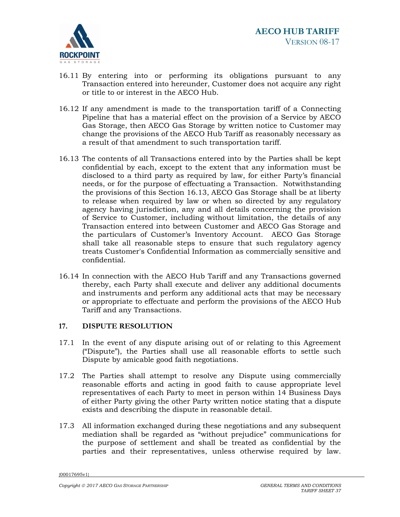

- 16.11 By entering into or performing its obligations pursuant to any Transaction entered into hereunder, Customer does not acquire any right or title to or interest in the AECO Hub.
- 16.12 If any amendment is made to the transportation tariff of a Connecting Pipeline that has a material effect on the provision of a Service by AECO Gas Storage, then AECO Gas Storage by written notice to Customer may change the provisions of the AECO Hub Tariff as reasonably necessary as a result of that amendment to such transportation tariff.
- 16.13 The contents of all Transactions entered into by the Parties shall be kept confidential by each, except to the extent that any information must be disclosed to a third party as required by law, for either Party's financial needs, or for the purpose of effectuating a Transaction. Notwithstanding the provisions of this Section 16.13, AECO Gas Storage shall be at liberty to release when required by law or when so directed by any regulatory agency having jurisdiction, any and all details concerning the provision of Service to Customer, including without limitation, the details of any Transaction entered into between Customer and AECO Gas Storage and the particulars of Customer's Inventory Account. AECO Gas Storage shall take all reasonable steps to ensure that such regulatory agency treats Customer's Confidential Information as commercially sensitive and confidential.
- 16.14 In connection with the AECO Hub Tariff and any Transactions governed thereby, each Party shall execute and deliver any additional documents and instruments and perform any additional acts that may be necessary or appropriate to effectuate and perform the provisions of the AECO Hub Tariff and any Transactions.

## **17. DISPUTE RESOLUTION**

- 17.1 In the event of any dispute arising out of or relating to this Agreement ("Dispute"), the Parties shall use all reasonable efforts to settle such Dispute by amicable good faith negotiations.
- 17.2 The Parties shall attempt to resolve any Dispute using commercially reasonable efforts and acting in good faith to cause appropriate level representatives of each Party to meet in person within 14 Business Days of either Party giving the other Party written notice stating that a dispute exists and describing the dispute in reasonable detail.
- 17.3 All information exchanged during these negotiations and any subsequent mediation shall be regarded as "without prejudice" communications for the purpose of settlement and shall be treated as confidential by the parties and their representatives, unless otherwise required by law.

<sup>{00017695</sup>v1}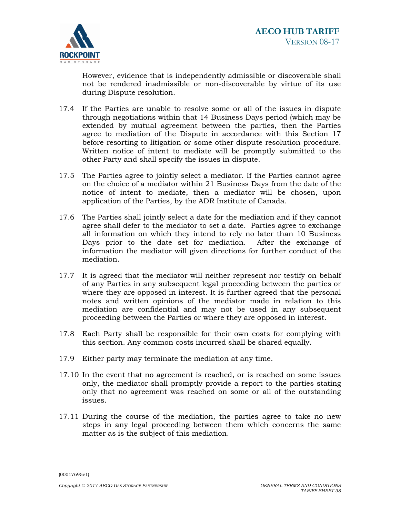

However, evidence that is independently admissible or discoverable shall not be rendered inadmissible or non-discoverable by virtue of its use during Dispute resolution.

- 17.4 If the Parties are unable to resolve some or all of the issues in dispute through negotiations within that 14 Business Days period (which may be extended by mutual agreement between the parties, then the Parties agree to mediation of the Dispute in accordance with this Section 17 before resorting to litigation or some other dispute resolution procedure. Written notice of intent to mediate will be promptly submitted to the other Party and shall specify the issues in dispute.
- 17.5 The Parties agree to jointly select a mediator. If the Parties cannot agree on the choice of a mediator within 21 Business Days from the date of the notice of intent to mediate, then a mediator will be chosen, upon application of the Parties, by the ADR Institute of Canada.
- 17.6 The Parties shall jointly select a date for the mediation and if they cannot agree shall defer to the mediator to set a date. Parties agree to exchange all information on which they intend to rely no later than 10 Business Days prior to the date set for mediation. After the exchange of information the mediator will given directions for further conduct of the mediation.
- 17.7 It is agreed that the mediator will neither represent nor testify on behalf of any Parties in any subsequent legal proceeding between the parties or where they are opposed in interest. It is further agreed that the personal notes and written opinions of the mediator made in relation to this mediation are confidential and may not be used in any subsequent proceeding between the Parties or where they are opposed in interest.
- 17.8 Each Party shall be responsible for their own costs for complying with this section. Any common costs incurred shall be shared equally.
- 17.9 Either party may terminate the mediation at any time.
- 17.10 In the event that no agreement is reached, or is reached on some issues only, the mediator shall promptly provide a report to the parties stating only that no agreement was reached on some or all of the outstanding issues.
- 17.11 During the course of the mediation, the parties agree to take no new steps in any legal proceeding between them which concerns the same matter as is the subject of this mediation.

<sup>{00017695</sup>v1}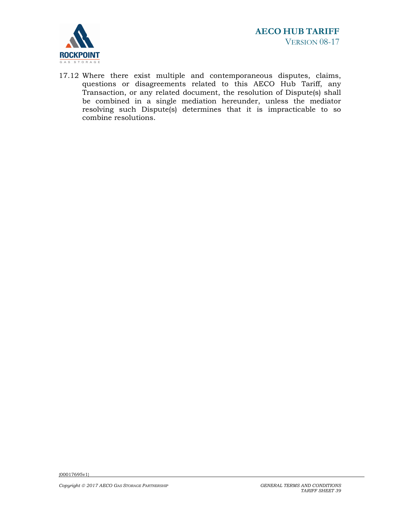

17.12 Where there exist multiple and contemporaneous disputes, claims, questions or disagreements related to this AECO Hub Tariff, any Transaction, or any related document, the resolution of Dispute(s) shall be combined in a single mediation hereunder, unless the mediator resolving such Dispute(s) determines that it is impracticable to so combine resolutions.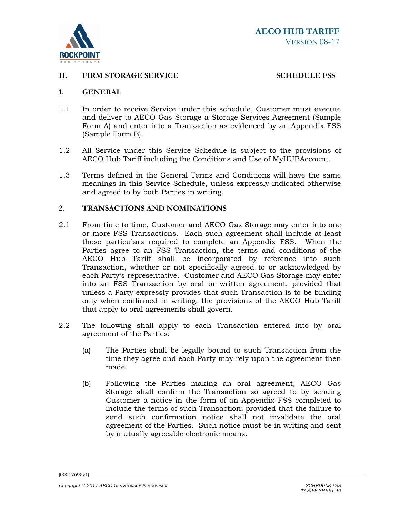

# **II. FIRM STORAGE SERVICE** SCHEDULE FSS

#### **1. GENERAL**

- 1.1 In order to receive Service under this schedule, Customer must execute and deliver to AECO Gas Storage a Storage Services Agreement (Sample Form A) and enter into a Transaction as evidenced by an Appendix FSS (Sample Form B).
- 1.2 All Service under this Service Schedule is subject to the provisions of AECO Hub Tariff including the Conditions and Use of MyHUBAccount.
- 1.3 Terms defined in the General Terms and Conditions will have the same meanings in this Service Schedule, unless expressly indicated otherwise and agreed to by both Parties in writing.

#### **2. TRANSACTIONS AND NOMINATIONS**

- 2.1 From time to time, Customer and AECO Gas Storage may enter into one or more FSS Transactions. Each such agreement shall include at least those particulars required to complete an Appendix FSS. When the Parties agree to an FSS Transaction, the terms and conditions of the AECO Hub Tariff shall be incorporated by reference into such Transaction, whether or not specifically agreed to or acknowledged by each Party's representative. Customer and AECO Gas Storage may enter into an FSS Transaction by oral or written agreement, provided that unless a Party expressly provides that such Transaction is to be binding only when confirmed in writing, the provisions of the AECO Hub Tariff that apply to oral agreements shall govern.
- 2.2 The following shall apply to each Transaction entered into by oral agreement of the Parties:
	- (a) The Parties shall be legally bound to such Transaction from the time they agree and each Party may rely upon the agreement then made.
	- (b) Following the Parties making an oral agreement, AECO Gas Storage shall confirm the Transaction so agreed to by sending Customer a notice in the form of an Appendix FSS completed to include the terms of such Transaction; provided that the failure to send such confirmation notice shall not invalidate the oral agreement of the Parties. Such notice must be in writing and sent by mutually agreeable electronic means.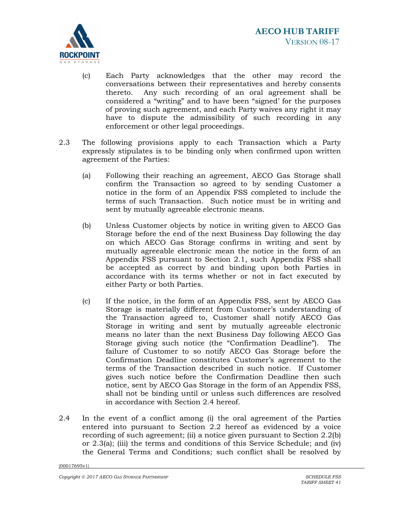

- (c) Each Party acknowledges that the other may record the conversations between their representatives and hereby consents thereto. Any such recording of an oral agreement shall be considered a "writing" and to have been "signed' for the purposes of proving such agreement, and each Party waives any right it may have to dispute the admissibility of such recording in any enforcement or other legal proceedings.
- 2.3 The following provisions apply to each Transaction which a Party expressly stipulates is to be binding only when confirmed upon written agreement of the Parties:
	- (a) Following their reaching an agreement, AECO Gas Storage shall confirm the Transaction so agreed to by sending Customer a notice in the form of an Appendix FSS completed to include the terms of such Transaction. Such notice must be in writing and sent by mutually agreeable electronic means.
	- (b) Unless Customer objects by notice in writing given to AECO Gas Storage before the end of the next Business Day following the day on which AECO Gas Storage confirms in writing and sent by mutually agreeable electronic mean the notice in the form of an Appendix FSS pursuant to Section 2.1, such Appendix FSS shall be accepted as correct by and binding upon both Parties in accordance with its terms whether or not in fact executed by either Party or both Parties.
	- (c) If the notice, in the form of an Appendix FSS, sent by AECO Gas Storage is materially different from Customer's understanding of the Transaction agreed to, Customer shall notify AECO Gas Storage in writing and sent by mutually agreeable electronic means no later than the next Business Day following AECO Gas Storage giving such notice (the "Confirmation Deadline"). The failure of Customer to so notify AECO Gas Storage before the Confirmation Deadline constitutes Customer's agreement to the terms of the Transaction described in such notice. If Customer gives such notice before the Confirmation Deadline then such notice, sent by AECO Gas Storage in the form of an Appendix FSS, shall not be binding until or unless such differences are resolved in accordance with Section 2.4 hereof.
- 2.4 In the event of a conflict among (i) the oral agreement of the Parties entered into pursuant to Section 2.2 hereof as evidenced by a voice recording of such agreement; (ii) a notice given pursuant to Section 2.2(b) or 2.3(a); (iii) the terms and conditions of this Service Schedule; and (iv) the General Terms and Conditions; such conflict shall be resolved by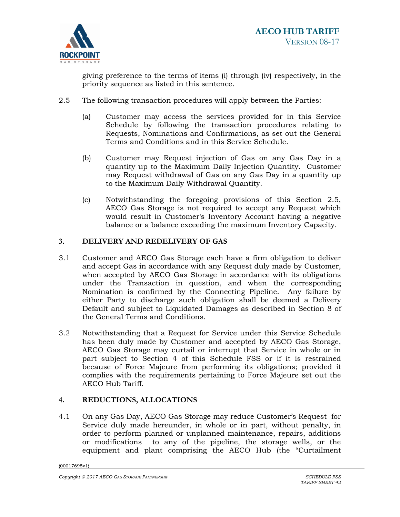

giving preference to the terms of items (i) through (iv) respectively, in the priority sequence as listed in this sentence.

- 2.5 The following transaction procedures will apply between the Parties:
	- (a) Customer may access the services provided for in this Service Schedule by following the transaction procedures relating to Requests, Nominations and Confirmations, as set out the General Terms and Conditions and in this Service Schedule.
	- (b) Customer may Request injection of Gas on any Gas Day in a quantity up to the Maximum Daily Injection Quantity. Customer may Request withdrawal of Gas on any Gas Day in a quantity up to the Maximum Daily Withdrawal Quantity.
	- (c) Notwithstanding the foregoing provisions of this Section 2.5, AECO Gas Storage is not required to accept any Request which would result in Customer's Inventory Account having a negative balance or a balance exceeding the maximum Inventory Capacity.

# **3. DELIVERY AND REDELIVERY OF GAS**

- 3.1 Customer and AECO Gas Storage each have a firm obligation to deliver and accept Gas in accordance with any Request duly made by Customer, when accepted by AECO Gas Storage in accordance with its obligations under the Transaction in question, and when the corresponding Nomination is confirmed by the Connecting Pipeline. Any failure by either Party to discharge such obligation shall be deemed a Delivery Default and subject to Liquidated Damages as described in Section 8 of the General Terms and Conditions.
- 3.2 Notwithstanding that a Request for Service under this Service Schedule has been duly made by Customer and accepted by AECO Gas Storage, AECO Gas Storage may curtail or interrupt that Service in whole or in part subject to Section 4 of this Schedule FSS or if it is restrained because of Force Majeure from performing its obligations; provided it complies with the requirements pertaining to Force Majeure set out the AECO Hub Tariff.

## **4. REDUCTIONS, ALLOCATIONS**

4.1 On any Gas Day, AECO Gas Storage may reduce Customer's Request for Service duly made hereunder, in whole or in part, without penalty, in order to perform planned or unplanned maintenance, repairs, additions or modifications to any of the pipeline, the storage wells, or the equipment and plant comprising the AECO Hub (the "Curtailment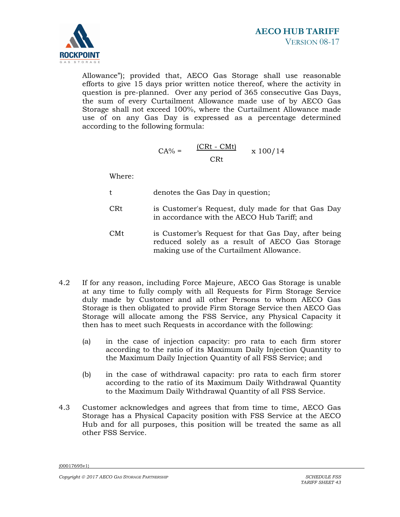

Allowance"); provided that, AECO Gas Storage shall use reasonable efforts to give 15 days prior written notice thereof, where the activity in question is pre-planned. Over any period of 365 consecutive Gas Days, the sum of every Curtailment Allowance made use of by AECO Gas Storage shall not exceed 100%, where the Curtailment Allowance made use of on any Gas Day is expressed as a percentage determined according to the following formula:

$$
CA\% = \frac{(CRt - CMt)}{CRt} \times 100/14
$$

Where:

- t denotes the Gas Day in question;
- CRt is Customer's Request, duly made for that Gas Day in accordance with the AECO Hub Tariff; and
- CMt is Customer's Request for that Gas Day, after being reduced solely as a result of AECO Gas Storage making use of the Curtailment Allowance.
- 4.2 If for any reason, including Force Majeure, AECO Gas Storage is unable at any time to fully comply with all Requests for Firm Storage Service duly made by Customer and all other Persons to whom AECO Gas Storage is then obligated to provide Firm Storage Service then AECO Gas Storage will allocate among the FSS Service, any Physical Capacity it then has to meet such Requests in accordance with the following:
	- (a) in the case of injection capacity: pro rata to each firm storer according to the ratio of its Maximum Daily Injection Quantity to the Maximum Daily Injection Quantity of all FSS Service; and
	- (b) in the case of withdrawal capacity: pro rata to each firm storer according to the ratio of its Maximum Daily Withdrawal Quantity to the Maximum Daily Withdrawal Quantity of all FSS Service.
- 4.3 Customer acknowledges and agrees that from time to time, AECO Gas Storage has a Physical Capacity position with FSS Service at the AECO Hub and for all purposes, this position will be treated the same as all other FSS Service.

<sup>{00017695</sup>v1}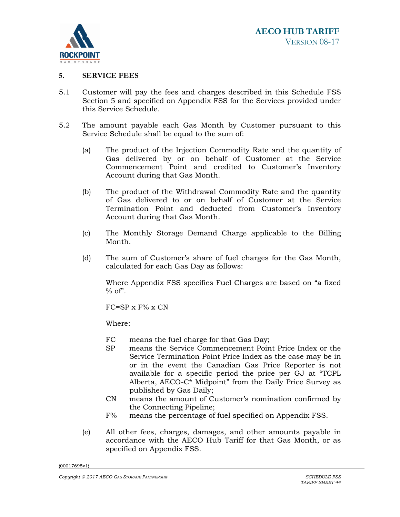

#### **5. SERVICE FEES**

- 5.1 Customer will pay the fees and charges described in this Schedule FSS Section 5 and specified on Appendix FSS for the Services provided under this Service Schedule.
- 5.2 The amount payable each Gas Month by Customer pursuant to this Service Schedule shall be equal to the sum of:
	- (a) The product of the Injection Commodity Rate and the quantity of Gas delivered by or on behalf of Customer at the Service Commencement Point and credited to Customer's Inventory Account during that Gas Month.
	- (b) The product of the Withdrawal Commodity Rate and the quantity of Gas delivered to or on behalf of Customer at the Service Termination Point and deducted from Customer's Inventory Account during that Gas Month.
	- (c) The Monthly Storage Demand Charge applicable to the Billing Month.
	- (d) The sum of Customer's share of fuel charges for the Gas Month, calculated for each Gas Day as follows:

Where Appendix FSS specifies Fuel Charges are based on "a fixed  $%$  of".

FC=SP x F% x CN

Where:

- FC means the fuel charge for that Gas Day;
- SP means the Service Commencement Point Price Index or the Service Termination Point Price Index as the case may be in or in the event the Canadian Gas Price Reporter is not available for a specific period the price per GJ at "TCPL Alberta, AECO-C\* Midpoint" from the Daily Price Survey as published by Gas Daily;
- CN means the amount of Customer's nomination confirmed by the Connecting Pipeline;
- F% means the percentage of fuel specified on Appendix FSS.
- (e) All other fees, charges, damages, and other amounts payable in accordance with the AECO Hub Tariff for that Gas Month, or as specified on Appendix FSS.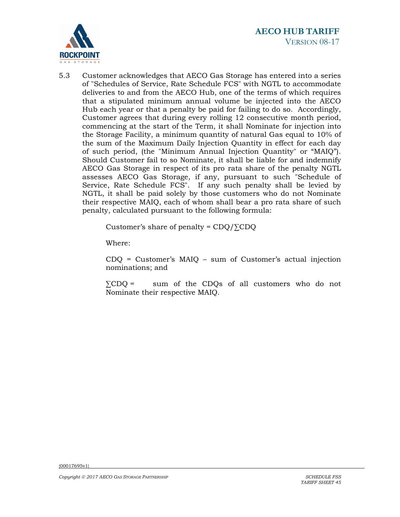

5.3 Customer acknowledges that AECO Gas Storage has entered into a series of "Schedules of Service, Rate Schedule FCS" with NGTL to accommodate deliveries to and from the AECO Hub, one of the terms of which requires that a stipulated minimum annual volume be injected into the AECO Hub each year or that a penalty be paid for failing to do so. Accordingly, Customer agrees that during every rolling 12 consecutive month period, commencing at the start of the Term, it shall Nominate for injection into the Storage Facility, a minimum quantity of natural Gas equal to 10% of the sum of the Maximum Daily Injection Quantity in effect for each day of such period, (the "Minimum Annual Injection Quantity" or "MAIQ"). Should Customer fail to so Nominate, it shall be liable for and indemnify AECO Gas Storage in respect of its pro rata share of the penalty NGTL assesses AECO Gas Storage, if any, pursuant to such "Schedule of Service, Rate Schedule FCS". If any such penalty shall be levied by NGTL, it shall be paid solely by those customers who do not Nominate their respective MAIQ, each of whom shall bear a pro rata share of such penalty, calculated pursuant to the following formula:

Customer's share of penalty =  $CDQ/\Sigma CDQ$ 

Where:

CDQ = Customer's MAIQ – sum of Customer's actual injection nominations; and

∑CDQ = sum of the CDQs of all customers who do not Nominate their respective MAIQ.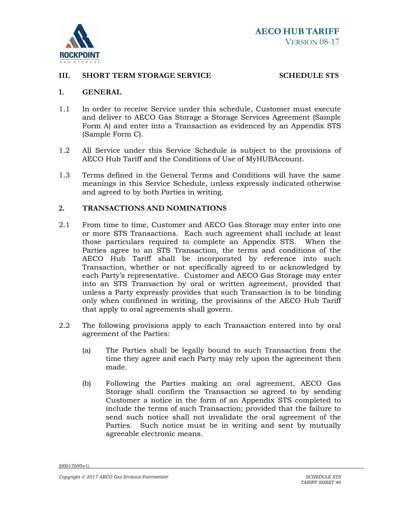

#### **III.** SHORT TERM STORAGE SERVICE STRING SCHEDULE STS

#### **1. GENERAL**

- 1.1 In order to receive Service under this schedule, Customer must execute and deliver to AECO Gas Storage a Storage Services Agreement (Sample Form A) and enter into a Transaction as evidenced by an Appendix STS (Sample Form C).
- 1.2 All Service under this Service Schedule is subject to the provisions of AECO Hub Tariff and the Conditions of Use of MyHUBAccount.
- 1.3 Terms defined in the General Terms and Conditions will have the same meanings in this Service Schedule, unless expressly indicated otherwise and agreed to by both Parties in writing.

#### **2. TRANSACTIONS AND NOMINATIONS**

- 2.1 From time to time, Customer and AECO Gas Storage may enter into one or more STS Transactions. Each such agreement shall include at least those particulars required to complete an Appendix STS. When the Parties agree to an STS Transaction, the terms and conditions of the AECO Hub Tariff shall be incorporated by reference into such Transaction, whether or not specifically agreed to or acknowledged by each Party's representative. Customer and AECO Gas Storage may enter into an STS Transaction by oral or written agreement, provided that unless a Party expressly provides that such Transaction is to be binding only when confirmed in writing, the provisions of the AECO Hub Tariff that apply to oral agreements shall govern.
- 2.2 The following provisions apply to each Transaction entered into by oral agreement of the Parties:
	- (a) The Parties shall be legally bound to such Transaction from the time they agree and each Party may rely upon the agreement then made.
	- (b) Following the Parties making an oral agreement, AECO Gas Storage shall confirm the Transaction so agreed to by sending Customer a notice in the form of an Appendix STS completed to include the terms of such Transaction; provided that the failure to send such notice shall not invalidate the oral agreement of the Parties. Such notice must be in writing and sent by mutually agreeable electronic means.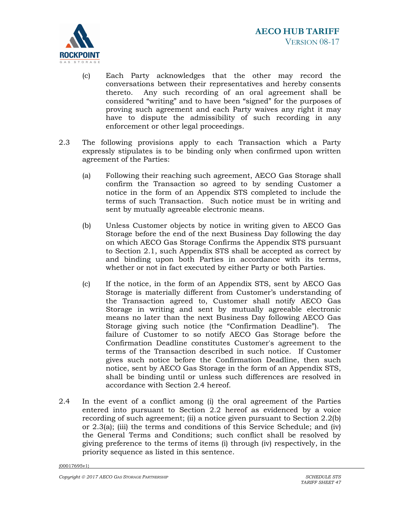

- (c) Each Party acknowledges that the other may record the conversations between their representatives and hereby consents thereto. Any such recording of an oral agreement shall be considered "writing" and to have been "signed" for the purposes of proving such agreement and each Party waives any right it may have to dispute the admissibility of such recording in any enforcement or other legal proceedings.
- 2.3 The following provisions apply to each Transaction which a Party expressly stipulates is to be binding only when confirmed upon written agreement of the Parties:
	- (a) Following their reaching such agreement, AECO Gas Storage shall confirm the Transaction so agreed to by sending Customer a notice in the form of an Appendix STS completed to include the terms of such Transaction. Such notice must be in writing and sent by mutually agreeable electronic means.
	- (b) Unless Customer objects by notice in writing given to AECO Gas Storage before the end of the next Business Day following the day on which AECO Gas Storage Confirms the Appendix STS pursuant to Section 2.1, such Appendix STS shall be accepted as correct by and binding upon both Parties in accordance with its terms, whether or not in fact executed by either Party or both Parties.
	- (c) If the notice, in the form of an Appendix STS, sent by AECO Gas Storage is materially different from Customer's understanding of the Transaction agreed to, Customer shall notify AECO Gas Storage in writing and sent by mutually agreeable electronic means no later than the next Business Day following AECO Gas Storage giving such notice (the "Confirmation Deadline"). The failure of Customer to so notify AECO Gas Storage before the Confirmation Deadline constitutes Customer's agreement to the terms of the Transaction described in such notice. If Customer gives such notice before the Confirmation Deadline, then such notice, sent by AECO Gas Storage in the form of an Appendix STS, shall be binding until or unless such differences are resolved in accordance with Section 2.4 hereof.
- 2.4 In the event of a conflict among (i) the oral agreement of the Parties entered into pursuant to Section 2.2 hereof as evidenced by a voice recording of such agreement; (ii) a notice given pursuant to Section 2.2(b) or 2.3(a); (iii) the terms and conditions of this Service Schedule; and (iv) the General Terms and Conditions; such conflict shall be resolved by giving preference to the terms of items (i) through (iv) respectively, in the priority sequence as listed in this sentence.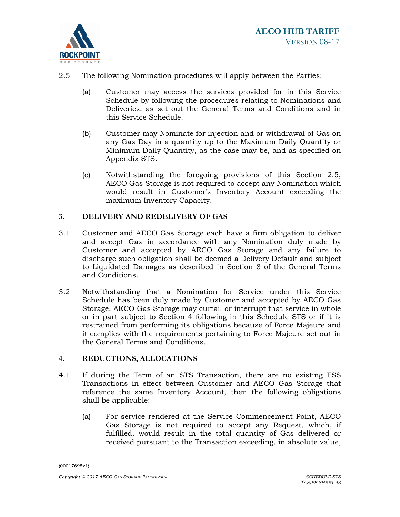

- 2.5 The following Nomination procedures will apply between the Parties:
	- (a) Customer may access the services provided for in this Service Schedule by following the procedures relating to Nominations and Deliveries, as set out the General Terms and Conditions and in this Service Schedule.
	- (b) Customer may Nominate for injection and or withdrawal of Gas on any Gas Day in a quantity up to the Maximum Daily Quantity or Minimum Daily Quantity, as the case may be, and as specified on Appendix STS.
	- (c) Notwithstanding the foregoing provisions of this Section 2.5, AECO Gas Storage is not required to accept any Nomination which would result in Customer's Inventory Account exceeding the maximum Inventory Capacity.

# **3. DELIVERY AND REDELIVERY OF GAS**

- 3.1 Customer and AECO Gas Storage each have a firm obligation to deliver and accept Gas in accordance with any Nomination duly made by Customer and accepted by AECO Gas Storage and any failure to discharge such obligation shall be deemed a Delivery Default and subject to Liquidated Damages as described in Section 8 of the General Terms and Conditions.
- 3.2 Notwithstanding that a Nomination for Service under this Service Schedule has been duly made by Customer and accepted by AECO Gas Storage, AECO Gas Storage may curtail or interrupt that service in whole or in part subject to Section 4 following in this Schedule STS or if it is restrained from performing its obligations because of Force Majeure and it complies with the requirements pertaining to Force Majeure set out in the General Terms and Conditions.

## **4. REDUCTIONS, ALLOCATIONS**

- 4.1 If during the Term of an STS Transaction, there are no existing FSS Transactions in effect between Customer and AECO Gas Storage that reference the same Inventory Account, then the following obligations shall be applicable:
	- (a) For service rendered at the Service Commencement Point, AECO Gas Storage is not required to accept any Request, which, if fulfilled, would result in the total quantity of Gas delivered or received pursuant to the Transaction exceeding, in absolute value,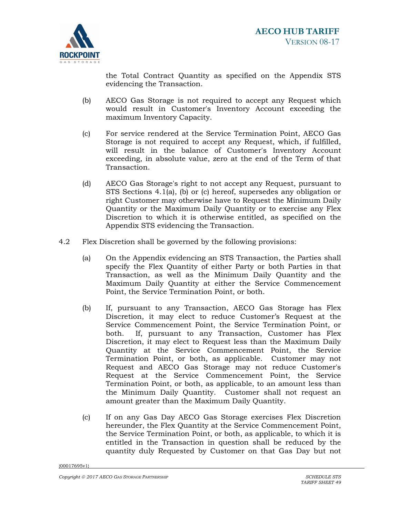

the Total Contract Quantity as specified on the Appendix STS evidencing the Transaction.

- (b) AECO Gas Storage is not required to accept any Request which would result in Customer's Inventory Account exceeding the maximum Inventory Capacity.
- (c) For service rendered at the Service Termination Point, AECO Gas Storage is not required to accept any Request, which, if fulfilled, will result in the balance of Customer's Inventory Account exceeding, in absolute value, zero at the end of the Term of that Transaction.
- (d) AECO Gas Storage's right to not accept any Request, pursuant to STS Sections 4.1(a), (b) or (c) hereof, supersedes any obligation or right Customer may otherwise have to Request the Minimum Daily Quantity or the Maximum Daily Quantity or to exercise any Flex Discretion to which it is otherwise entitled, as specified on the Appendix STS evidencing the Transaction.
- 4.2 Flex Discretion shall be governed by the following provisions:
	- (a) On the Appendix evidencing an STS Transaction, the Parties shall specify the Flex Quantity of either Party or both Parties in that Transaction, as well as the Minimum Daily Quantity and the Maximum Daily Quantity at either the Service Commencement Point, the Service Termination Point, or both.
	- (b) If, pursuant to any Transaction, AECO Gas Storage has Flex Discretion, it may elect to reduce Customer's Request at the Service Commencement Point, the Service Termination Point, or both. If, pursuant to any Transaction, Customer has Flex Discretion, it may elect to Request less than the Maximum Daily Quantity at the Service Commencement Point, the Service Termination Point, or both, as applicable. Customer may not Request and AECO Gas Storage may not reduce Customer's Request at the Service Commencement Point, the Service Termination Point, or both, as applicable, to an amount less than the Minimum Daily Quantity. Customer shall not request an amount greater than the Maximum Daily Quantity.
	- (c) If on any Gas Day AECO Gas Storage exercises Flex Discretion hereunder, the Flex Quantity at the Service Commencement Point, the Service Termination Point, or both, as applicable, to which it is entitled in the Transaction in question shall be reduced by the quantity duly Requested by Customer on that Gas Day but not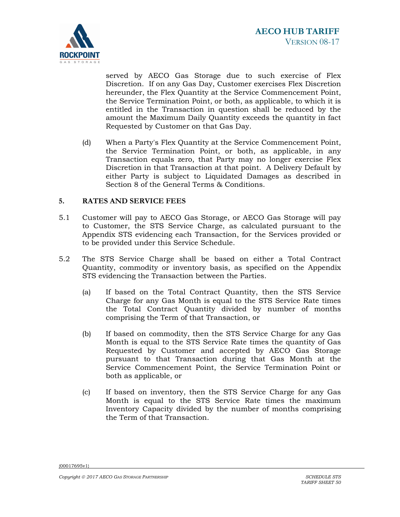

served by AECO Gas Storage due to such exercise of Flex Discretion. If on any Gas Day, Customer exercises Flex Discretion hereunder, the Flex Quantity at the Service Commencement Point, the Service Termination Point, or both, as applicable, to which it is entitled in the Transaction in question shall be reduced by the amount the Maximum Daily Quantity exceeds the quantity in fact Requested by Customer on that Gas Day.

(d) When a Party's Flex Quantity at the Service Commencement Point, the Service Termination Point, or both, as applicable, in any Transaction equals zero, that Party may no longer exercise Flex Discretion in that Transaction at that point. A Delivery Default by either Party is subject to Liquidated Damages as described in Section 8 of the General Terms & Conditions.

# **5. RATES AND SERVICE FEES**

- 5.1 Customer will pay to AECO Gas Storage, or AECO Gas Storage will pay to Customer, the STS Service Charge, as calculated pursuant to the Appendix STS evidencing each Transaction, for the Services provided or to be provided under this Service Schedule.
- 5.2 The STS Service Charge shall be based on either a Total Contract Quantity, commodity or inventory basis, as specified on the Appendix STS evidencing the Transaction between the Parties.
	- (a) If based on the Total Contract Quantity, then the STS Service Charge for any Gas Month is equal to the STS Service Rate times the Total Contract Quantity divided by number of months comprising the Term of that Transaction, or
	- (b) If based on commodity, then the STS Service Charge for any Gas Month is equal to the STS Service Rate times the quantity of Gas Requested by Customer and accepted by AECO Gas Storage pursuant to that Transaction during that Gas Month at the Service Commencement Point, the Service Termination Point or both as applicable, or
	- (c) If based on inventory, then the STS Service Charge for any Gas Month is equal to the STS Service Rate times the maximum Inventory Capacity divided by the number of months comprising the Term of that Transaction.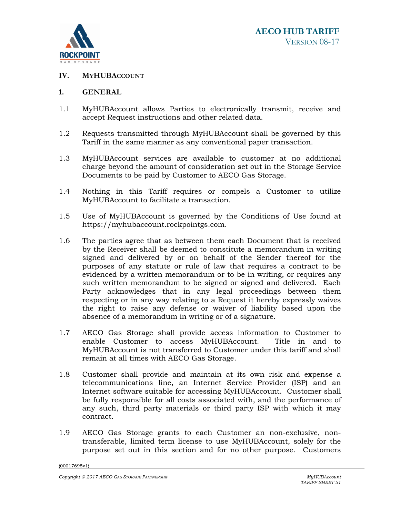

# **IV. MYHUBACCOUNT**

#### **1. GENERAL**

- 1.1 MyHUBAccount allows Parties to electronically transmit, receive and accept Request instructions and other related data.
- 1.2 Requests transmitted through MyHUBAccount shall be governed by this Tariff in the same manner as any conventional paper transaction.
- 1.3 MyHUBAccount services are available to customer at no additional charge beyond the amount of consideration set out in the Storage Service Documents to be paid by Customer to AECO Gas Storage.
- 1.4 Nothing in this Tariff requires or compels a Customer to utilize MyHUBAccount to facilitate a transaction.
- 1.5 Use of MyHUBAccount is governed by the Conditions of Use found at https://myhubaccount.rockpointgs.com.
- 1.6 The parties agree that as between them each Document that is received by the Receiver shall be deemed to constitute a memorandum in writing signed and delivered by or on behalf of the Sender thereof for the purposes of any statute or rule of law that requires a contract to be evidenced by a written memorandum or to be in writing, or requires any such written memorandum to be signed or signed and delivered. Each Party acknowledges that in any legal proceedings between them respecting or in any way relating to a Request it hereby expressly waives the right to raise any defense or waiver of liability based upon the absence of a memorandum in writing or of a signature.
- 1.7 AECO Gas Storage shall provide access information to Customer to enable Customer to access MyHUBAccount. Title in and to MyHUBAccount is not transferred to Customer under this tariff and shall remain at all times with AECO Gas Storage.
- 1.8 Customer shall provide and maintain at its own risk and expense a telecommunications line, an Internet Service Provider (ISP) and an Internet software suitable for accessing MyHUBAccount. Customer shall be fully responsible for all costs associated with, and the performance of any such, third party materials or third party ISP with which it may contract.
- 1.9 AECO Gas Storage grants to each Customer an non-exclusive, nontransferable, limited term license to use MyHUBAccount, solely for the purpose set out in this section and for no other purpose. Customers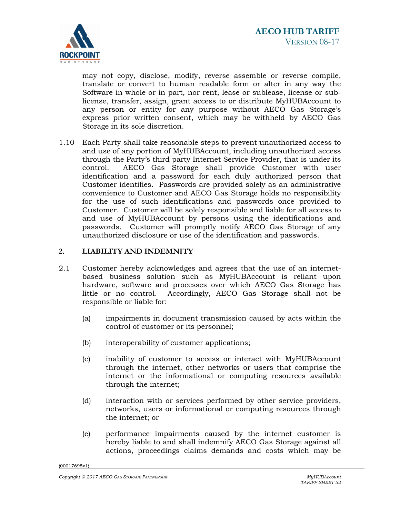

may not copy, disclose, modify, reverse assemble or reverse compile, translate or convert to human readable form or alter in any way the Software in whole or in part, nor rent, lease or sublease, license or sublicense, transfer, assign, grant access to or distribute MyHUBAccount to any person or entity for any purpose without AECO Gas Storage's express prior written consent, which may be withheld by AECO Gas Storage in its sole discretion.

1.10 Each Party shall take reasonable steps to prevent unauthorized access to and use of any portion of MyHUBAccount, including unauthorized access through the Party's third party Internet Service Provider, that is under its control. AECO Gas Storage shall provide Customer with user identification and a password for each duly authorized person that Customer identifies. Passwords are provided solely as an administrative convenience to Customer and AECO Gas Storage holds no responsibility for the use of such identifications and passwords once provided to Customer. Customer will be solely responsible and liable for all access to and use of MyHUBAccount by persons using the identifications and passwords. Customer will promptly notify AECO Gas Storage of any unauthorized disclosure or use of the identification and passwords.

# **2. LIABILITY AND INDEMNITY**

- 2.1 Customer hereby acknowledges and agrees that the use of an internetbased business solution such as MyHUBAccount is reliant upon hardware, software and processes over which AECO Gas Storage has little or no control. Accordingly, AECO Gas Storage shall not be responsible or liable for:
	- (a) impairments in document transmission caused by acts within the control of customer or its personnel;
	- (b) interoperability of customer applications;
	- (c) inability of customer to access or interact with MyHUBAccount through the internet, other networks or users that comprise the internet or the informational or computing resources available through the internet;
	- (d) interaction with or services performed by other service providers, networks, users or informational or computing resources through the internet; or
	- (e) performance impairments caused by the internet customer is hereby liable to and shall indemnify AECO Gas Storage against all actions, proceedings claims demands and costs which may be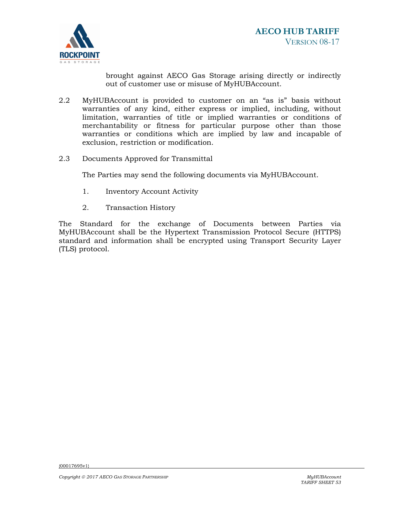

brought against AECO Gas Storage arising directly or indirectly out of customer use or misuse of MyHUBAccount.

- 2.2 MyHUBAccount is provided to customer on an "as is" basis without warranties of any kind, either express or implied, including, without limitation, warranties of title or implied warranties or conditions of merchantability or fitness for particular purpose other than those warranties or conditions which are implied by law and incapable of exclusion, restriction or modification.
- 2.3 Documents Approved for Transmittal

The Parties may send the following documents via MyHUBAccount.

- 1. Inventory Account Activity
- 2. Transaction History

The Standard for the exchange of Documents between Parties via MyHUBAccount shall be the Hypertext Transmission Protocol Secure (HTTPS) standard and information shall be encrypted using Transport Security Layer (TLS) protocol.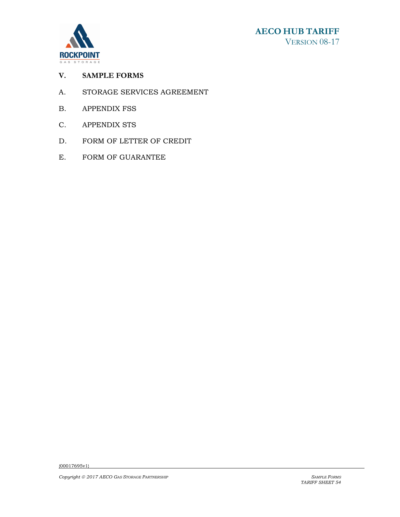



# **V. SAMPLE FORMS**

- A. STORAGE SERVICES AGREEMENT
- B. APPENDIX FSS
- C. APPENDIX STS
- D. FORM OF LETTER OF CREDIT
- E. FORM OF GUARANTEE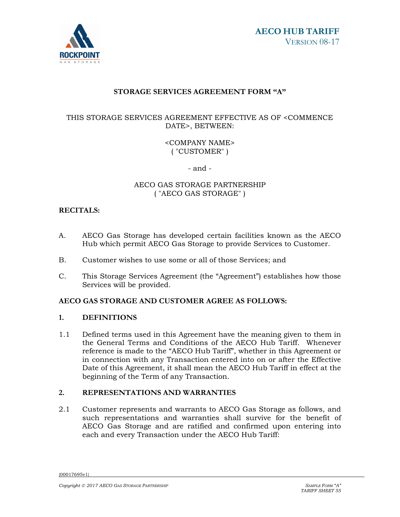

# **STORAGE SERVICES AGREEMENT FORM "A"**

# THIS STORAGE SERVICES AGREEMENT EFFECTIVE AS OF <COMMENCE DATE>, BETWEEN:

# <COMPANY NAME> ( "CUSTOMER" )

- and -

## AECO GAS STORAGE PARTNERSHIP ( "AECO GAS STORAGE" )

# **RECITALS:**

- A. AECO Gas Storage has developed certain facilities known as the AECO Hub which permit AECO Gas Storage to provide Services to Customer.
- B. Customer wishes to use some or all of those Services; and
- C. This Storage Services Agreement (the "Agreement") establishes how those Services will be provided.

# **AECO GAS STORAGE AND CUSTOMER AGREE AS FOLLOWS:**

## **1. DEFINITIONS**

1.1 Defined terms used in this Agreement have the meaning given to them in the General Terms and Conditions of the AECO Hub Tariff. Whenever reference is made to the "AECO Hub Tariff", whether in this Agreement or in connection with any Transaction entered into on or after the Effective Date of this Agreement, it shall mean the AECO Hub Tariff in effect at the beginning of the Term of any Transaction.

## **2. REPRESENTATIONS AND WARRANTIES**

2.1 Customer represents and warrants to AECO Gas Storage as follows, and such representations and warranties shall survive for the benefit of AECO Gas Storage and are ratified and confirmed upon entering into each and every Transaction under the AECO Hub Tariff: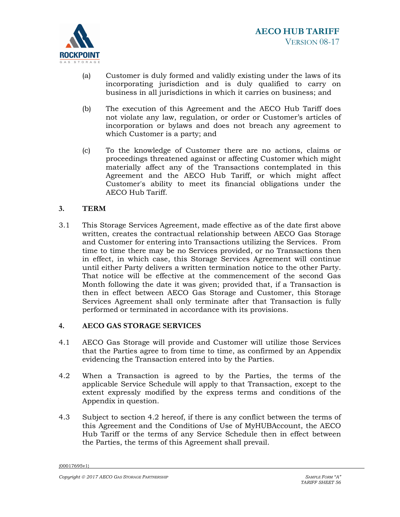

- (a) Customer is duly formed and validly existing under the laws of its incorporating jurisdiction and is duly qualified to carry on business in all jurisdictions in which it carries on business; and
- (b) The execution of this Agreement and the AECO Hub Tariff does not violate any law, regulation, or order or Customer's articles of incorporation or bylaws and does not breach any agreement to which Customer is a party; and
- (c) To the knowledge of Customer there are no actions, claims or proceedings threatened against or affecting Customer which might materially affect any of the Transactions contemplated in this Agreement and the AECO Hub Tariff, or which might affect Customer's ability to meet its financial obligations under the AECO Hub Tariff.

# **3. TERM**

3.1 This Storage Services Agreement, made effective as of the date first above written, creates the contractual relationship between AECO Gas Storage and Customer for entering into Transactions utilizing the Services. From time to time there may be no Services provided, or no Transactions then in effect, in which case, this Storage Services Agreement will continue until either Party delivers a written termination notice to the other Party. That notice will be effective at the commencement of the second Gas Month following the date it was given; provided that, if a Transaction is then in effect between AECO Gas Storage and Customer, this Storage Services Agreement shall only terminate after that Transaction is fully performed or terminated in accordance with its provisions.

## **4. AECO GAS STORAGE SERVICES**

- 4.1 AECO Gas Storage will provide and Customer will utilize those Services that the Parties agree to from time to time, as confirmed by an Appendix evidencing the Transaction entered into by the Parties.
- 4.2 When a Transaction is agreed to by the Parties, the terms of the applicable Service Schedule will apply to that Transaction, except to the extent expressly modified by the express terms and conditions of the Appendix in question.
- 4.3 Subject to section 4.2 hereof, if there is any conflict between the terms of this Agreement and the Conditions of Use of MyHUBAccount, the AECO Hub Tariff or the terms of any Service Schedule then in effect between the Parties, the terms of this Agreement shall prevail.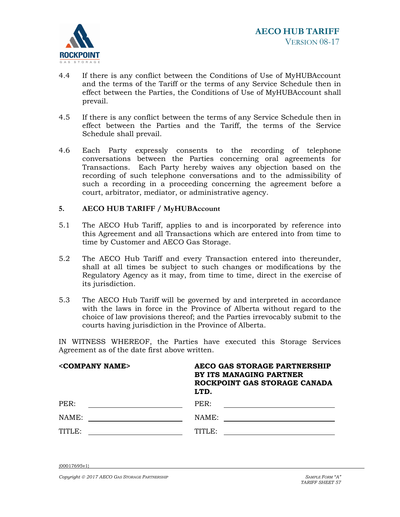

- 4.4 If there is any conflict between the Conditions of Use of MyHUBAccount and the terms of the Tariff or the terms of any Service Schedule then in effect between the Parties, the Conditions of Use of MyHUBAccount shall prevail.
- 4.5 If there is any conflict between the terms of any Service Schedule then in effect between the Parties and the Tariff, the terms of the Service Schedule shall prevail.
- 4.6 Each Party expressly consents to the recording of telephone conversations between the Parties concerning oral agreements for Transactions. Each Party hereby waives any objection based on the recording of such telephone conversations and to the admissibility of such a recording in a proceeding concerning the agreement before a court, arbitrator, mediator, or administrative agency.

## **5. AECO HUB TARIFF / MyHUBAccount**

- 5.1 The AECO Hub Tariff, applies to and is incorporated by reference into this Agreement and all Transactions which are entered into from time to time by Customer and AECO Gas Storage.
- 5.2 The AECO Hub Tariff and every Transaction entered into thereunder, shall at all times be subject to such changes or modifications by the Regulatory Agency as it may, from time to time, direct in the exercise of its jurisdiction.
- 5.3 The AECO Hub Tariff will be governed by and interpreted in accordance with the laws in force in the Province of Alberta without regard to the choice of law provisions thereof; and the Parties irrevocably submit to the courts having jurisdiction in the Province of Alberta.

IN WITNESS WHEREOF, the Parties have executed this Storage Services Agreement as of the date first above written.

| <company name=""></company> | AECO GAS STORAGE PARTNERSHIP<br>BY ITS MANAGING PARTNER<br>ROCKPOINT GAS STORAGE CANADA<br>LTD. |
|-----------------------------|-------------------------------------------------------------------------------------------------|
| PER:                        | PER:                                                                                            |
| NAME:                       | NAME:                                                                                           |
| TITLE:                      | TITLE:                                                                                          |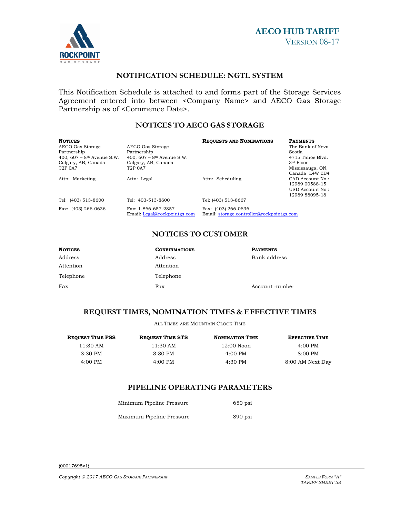



# **NOTIFICATION SCHEDULE: NGTL SYSTEM**

This Notification Schedule is attached to and forms part of the Storage Services Agreement entered into between <Company Name> and AECO Gas Storage Partnership as of <Commence Date>.

## **NOTICES TO AECO GAS STORAGE**

| Notices<br>AECO Gas Storage<br>Partnership<br>400, 607 – 8 <sup>th</sup> Avenue S.W.<br>Calgary, AB, Canada<br>T2P 0A7 | AECO Gas Storage<br>Partnership<br>400, $607 - 8$ <sup>th</sup> Avenue S.W.<br>Calgary, AB, Canada<br>T <sub>2</sub> P 0A7 | <b>REQUESTS AND NOMINATIONS</b>                                  | <b>PAYMENTS</b><br>The Bank of Nova<br>Scotia<br>4715 Tahoe Blyd.<br>3rd Floor<br>Mississauga, ON,<br>Canada L4W 0B4 |
|------------------------------------------------------------------------------------------------------------------------|----------------------------------------------------------------------------------------------------------------------------|------------------------------------------------------------------|----------------------------------------------------------------------------------------------------------------------|
| Attn: Marketing                                                                                                        | Attn: Legal                                                                                                                | Attn: Scheduling                                                 | CAD Account No.:<br>12989 00588-15<br>USD Account No.:<br>12989 88095-18                                             |
| Tel: (403) 513-8600                                                                                                    | Tel: 403-513-8600                                                                                                          | Tel: (403) 513-8667                                              |                                                                                                                      |
| Fax: (403) 266-0636                                                                                                    | Fax: 1-866-657-2857<br>Email: Legal@rockpointgs.com                                                                        | Fax: (403) 266-0636<br>Email: storage.controller@rockpointgs.com |                                                                                                                      |

# **NOTICES TO CUSTOMER**

| <b>NOTICES</b> | <b>CONFIRMATIONS</b> | <b>PAYMENTS</b> |
|----------------|----------------------|-----------------|
| Address        | Address              | Bank address    |
| Attention      | Attention            |                 |
| Telephone      | Telephone            |                 |
| Fax            | Fax                  | Account number  |

## **REQUEST TIMES, NOMINATION TIMES & EFFECTIVE TIMES**

ALL TIMES ARE MOUNTAIN CLOCK TIME

| $4:00 \text{ PM}$   |
|---------------------|
| $8:00 \, \text{PM}$ |
| 8:00 AM Next Day    |
|                     |

# **PIPELINE OPERATING PARAMETERS**

| Minimum Pipeline Pressure | $650$ psi |
|---------------------------|-----------|
| Maximum Pipeline Pressure | $890$ psi |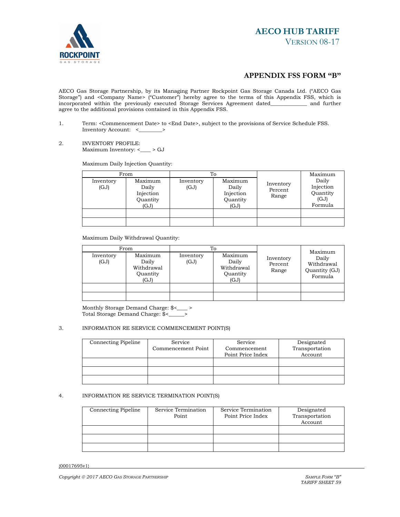

# **AECO HUB TARIFF** VERSION 08-17

#### **APPENDIX FSS FORM "B"**

AECO Gas Storage Partnership, by its Managing Partner Rockpoint Gas Storage Canada Ltd. ("AECO Gas Storage") and <Company Name> ("Customer") hereby agree to the terms of this Appendix FSS, which is incorporated within the previously executed Storage Services Agreement dated\_\_\_\_\_\_\_\_\_\_\_\_\_\_ and further agree to the additional provisions contained in this Appendix FSS.

- 1. Term: <Commencement Date> to <End Date>, subject to the provisions of Service Schedule FSS. Inventory Account: <\_\_\_\_\_\_\_\_\_>
- 2. INVENTORY PROFILE: Maximum Inventory: <\_\_\_\_ > GJ

Maximum Daily Injection Quantity:

|                   | From                                              | To                |                                                   |                               | Maximum                                           |
|-------------------|---------------------------------------------------|-------------------|---------------------------------------------------|-------------------------------|---------------------------------------------------|
| Inventory<br>(GJ) | Maximum<br>Daily<br>Injection<br>Quantity<br>(GJ) | Inventory<br>(GJ) | Maximum<br>Daily<br>Injection<br>Quantity<br>(GJ) | Inventory<br>Percent<br>Range | Daily<br>Injection<br>Quantity<br>(GJ)<br>Formula |
|                   |                                                   |                   |                                                   |                               |                                                   |
|                   |                                                   |                   |                                                   |                               |                                                   |

Maximum Daily Withdrawal Quantity:

| From              |                                                    | To                |                                                    |                               | Maximum                                         |
|-------------------|----------------------------------------------------|-------------------|----------------------------------------------------|-------------------------------|-------------------------------------------------|
| Inventory<br>(GJ) | Maximum<br>Daily<br>Withdrawal<br>Quantity<br>(GJ) | Inventory<br>(GJ) | Maximum<br>Daily<br>Withdrawal<br>Quantity<br>(GJ) | Inventory<br>Percent<br>Range | Daily<br>Withdrawal<br>Quantity (GJ)<br>Formula |
|                   |                                                    |                   |                                                    |                               |                                                 |
|                   |                                                    |                   |                                                    |                               |                                                 |

Monthly Storage Demand Charge: \$<\_\_\_\_ > Total Storage Demand Charge: \$<\_\_\_\_\_\_>

#### 3. INFORMATION RE SERVICE COMMENCEMENT POINT(S)

| Connecting Pipeline | Service            | Service           | Designated     |
|---------------------|--------------------|-------------------|----------------|
|                     | Commencement Point | Commencement      | Transportation |
|                     |                    | Point Price Index | Account        |
|                     |                    |                   |                |
|                     |                    |                   |                |
|                     |                    |                   |                |

#### 4. INFORMATION RE SERVICE TERMINATION POINT(S)

| <b>Connecting Pipeline</b> | Service Termination<br>Point | Service Termination<br>Point Price Index | Designated<br>Transportation<br>Account |
|----------------------------|------------------------------|------------------------------------------|-----------------------------------------|
|                            |                              |                                          |                                         |
|                            |                              |                                          |                                         |
|                            |                              |                                          |                                         |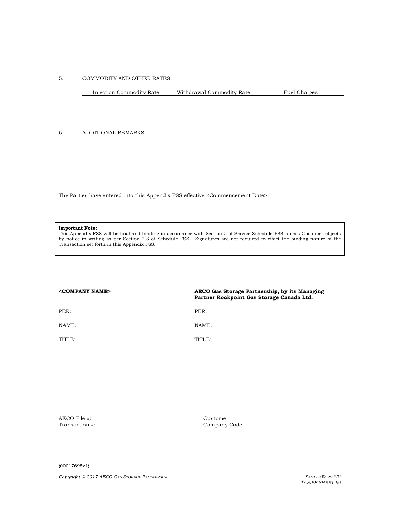#### 5. COMMODITY AND OTHER RATES

| Injection Commodity Rate | Withdrawal Commodity Rate | Fuel Charges |
|--------------------------|---------------------------|--------------|
|                          |                           |              |
|                          |                           |              |

#### 6. ADDITIONAL REMARKS

The Parties have entered into this Appendix FSS effective <Commencement Date>.

#### **Important Note:**

This Appendix FSS will be final and binding in accordance with Section 2 of Service Schedule FSS unless Customer objects by notice in writing as per Section 2.3 of Schedule FSS. Signatures are not required to effect the binding nature of the Transaction set forth in this Appendix FSS.

#### **<COMPANY NAME> AECO Gas Storage Partnership, by its Managing Partner Rockpoint Gas Storage Canada Ltd.**

| PER:   | PER:   |  |
|--------|--------|--|
| NAME:  | NAME:  |  |
| TITLE: | TITLE: |  |

AECO File #: Customer Company (Customer Company (Customer Company (Customer Company (Customer Company (Customer Company (Customer Company (Customer Company (Customer Company (Customer Company (Customer Company (Customer Cu

Company Code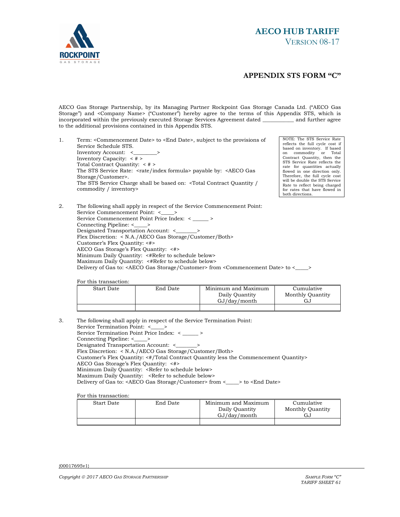

# **AECO HUB TARIFF** VERSION 08-17

#### **APPENDIX STS FORM "C"**

AECO Gas Storage Partnership, by its Managing Partner Rockpoint Gas Storage Canada Ltd. ("AECO Gas Storage") and <Company Name> ("Customer") hereby agree to the terms of this Appendix STS, which is incorporated within the previously executed Storage Services Agreement dated \_\_\_\_\_\_\_\_\_\_\_\_ and further agree to the additional provisions contained in this Appendix STS.

1. Term: <Commencement Date> to <End Date>, subject to the provisions of Service Schedule STS. Inventory Account: < Inventory Capacity: < # > Total Contract Quantity: < # > The STS Service Rate: <rate/index formula> payable by: <aECO Gas Storage/Customer>. The STS Service Charge shall be based on: <Total Contract Quantity / commodity / inventory>

NOTE: The STS Service Rate reflects the full cycle cost if based on inventory. If based on commodity or Total Contract Quantity, then the STS Service Rate reflects the rate for quantities actually flowed in one direction only. Therefore, the full cycle cost will be double the STS Service Rate to reflect being charged for rates that have flowed in both directions.

2. The following shall apply in respect of the Service Commencement Point: Service Commencement Point: <\_\_\_\_\_> Service Commencement Point Price Index: < \_\_\_\_\_\_ > Connecting Pipeline: <\_\_\_\_\_> Designated Transportation Account: <\_\_\_\_\_\_\_\_> Flex Discretion: < N.A./AECO Gas Storage/Customer/Both> Customer's Flex Quantity: <#> AECO Gas Storage's Flex Quantity: <#> Minimum Daily Quantity: <#Refer to schedule below> Maximum Daily Quantity: <#Refer to schedule below> Delivery of Gas to: <AECO Gas Storage/Customer> from <Commencement Date> to <\_\_\_\_\_>

For this transaction:

| End Date<br>Start Date |  | Minimum and Maximum | Cumulative       |
|------------------------|--|---------------------|------------------|
|                        |  | Daily Ouantity      | Monthly Quantity |
|                        |  | GJ/day/month        | GJ               |
|                        |  |                     |                  |

3. The following shall apply in respect of the Service Termination Point: Service Termination Point: <\_\_\_\_\_> Service Termination Point Price Index: < \_\_\_\_\_\_ > Connecting Pipeline: <\_\_\_\_\_> Designated Transportation Account: <\_\_\_\_\_\_\_\_> Flex Discretion: < N.A./AECO Gas Storage/Customer/Both> Customer's Flex Quantity: <#/Total Contract Quantity less the Commencement Quantity> AECO Gas Storage's Flex Quantity: <#> Minimum Daily Quantity: <Refer to schedule below> Maximum Daily Quantity: <Refer to schedule below> Delivery of Gas to: <AECO Gas Storage/Customer> from <\_\_\_\_\_> to <End Date>

For this transaction:

| Start Date | End Date | Minimum and Maximum | Cumulative       |  |
|------------|----------|---------------------|------------------|--|
|            |          | Daily Quantity      | Monthly Quantity |  |
|            |          | GJ/day/month        | GJ               |  |
|            |          |                     |                  |  |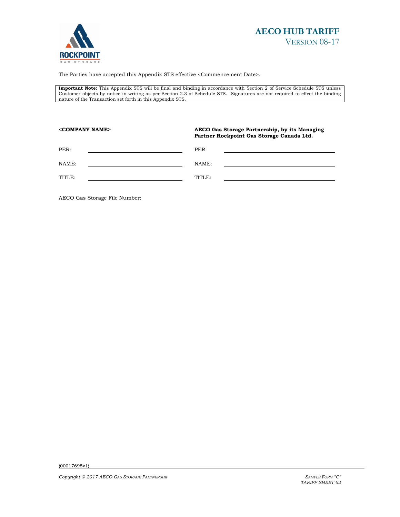



The Parties have accepted this Appendix STS effective <Commencement Date>.

**Important Note:** This Appendix STS will be final and binding in accordance with Section 2 of Service Schedule STS unless Customer objects by notice in writing as per Section 2.3 of Schedule STS. Signatures are not required to effect the binding nature of the Transaction set forth in this Appendix STS.

| <company name=""></company> |  | AECO Gas Storage Partnership, by its Managing<br>Partner Rockpoint Gas Storage Canada Ltd. |  |  |
|-----------------------------|--|--------------------------------------------------------------------------------------------|--|--|
| PER:                        |  | PER:                                                                                       |  |  |
| NAME:                       |  | NAME:                                                                                      |  |  |
| TITLE:                      |  | TITLE:                                                                                     |  |  |
|                             |  |                                                                                            |  |  |

AECO Gas Storage File Number: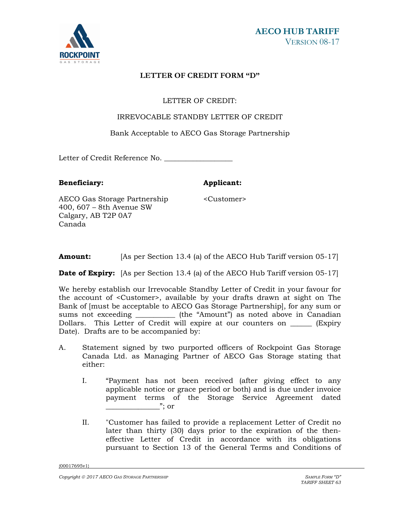

# **LETTER OF CREDIT FORM "D"**

# LETTER OF CREDIT:

## IRREVOCABLE STANDBY LETTER OF CREDIT

Bank Acceptable to AECO Gas Storage Partnership

Letter of Credit Reference No. \_\_\_\_\_\_\_\_\_\_\_\_\_\_\_\_\_\_\_

**Beneficiary:** Applicant:

<Customer>

AECO Gas Storage Partnership 400, 607 – 8th Avenue SW Calgary, AB T2P 0A7 Canada

**Amount:** [As per Section 13.4 (a) of the AECO Hub Tariff version 05-17]

**Date of Expiry:** [As per Section 13.4 (a) of the AECO Hub Tariff version 05-17]

We hereby establish our Irrevocable Standby Letter of Credit in your favour for the account of <Customer>, available by your drafts drawn at sight on The Bank of [must be acceptable to AECO Gas Storage Partnership], for any sum or sums not exceeding \_\_\_\_\_\_\_\_\_\_\_\_ (the "Amount") as noted above in Canadian Dollars. This Letter of Credit will expire at our counters on \_\_\_\_\_\_ (Expiry Date). Drafts are to be accompanied by:

- A. Statement signed by two purported officers of Rockpoint Gas Storage Canada Ltd. as Managing Partner of AECO Gas Storage stating that either:
	- I. "Payment has not been received (after giving effect to any applicable notice or grace period or both) and is due under invoice payment terms of the Storage Service Agreement dated  $\dddot{ }$  or
	- II. "Customer has failed to provide a replacement Letter of Credit no later than thirty (30) days prior to the expiration of the theneffective Letter of Credit in accordance with its obligations pursuant to Section 13 of the General Terms and Conditions of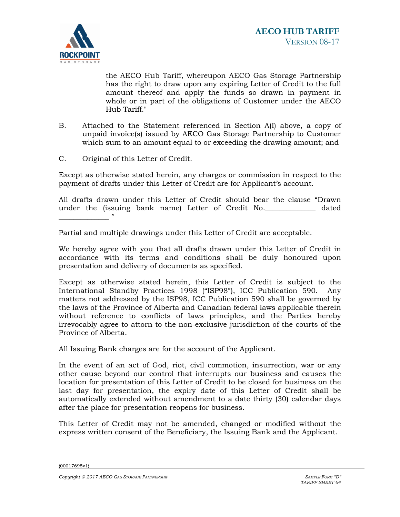

the AECO Hub Tariff, whereupon AECO Gas Storage Partnership has the right to draw upon any expiring Letter of Credit to the full amount thereof and apply the funds so drawn in payment in whole or in part of the obligations of Customer under the AECO Hub Tariff."

- B. Attached to the Statement referenced in Section A(I) above, a copy of unpaid invoice(s) issued by AECO Gas Storage Partnership to Customer which sum to an amount equal to or exceeding the drawing amount; and
- C. Original of this Letter of Credit.

Except as otherwise stated herein, any charges or commission in respect to the payment of drafts under this Letter of Credit are for Applicant's account.

All drafts drawn under this Letter of Credit should bear the clause "Drawn under the (issuing bank name) Letter of Credit No.\_\_\_\_\_\_\_\_\_\_\_\_\_\_ dated \_\_\_\_\_\_\_\_\_\_\_\_\_\_ "

Partial and multiple drawings under this Letter of Credit are acceptable.

We hereby agree with you that all drafts drawn under this Letter of Credit in accordance with its terms and conditions shall be duly honoured upon presentation and delivery of documents as specified.

Except as otherwise stated herein, this Letter of Credit is subject to the International Standby Practices 1998 ("ISP98"), ICC Publication 590. Any matters not addressed by the ISP98, ICC Publication 590 shall be governed by the laws of the Province of Alberta and Canadian federal laws applicable therein without reference to conflicts of laws principles, and the Parties hereby irrevocably agree to attorn to the non-exclusive jurisdiction of the courts of the Province of Alberta.

All Issuing Bank charges are for the account of the Applicant.

In the event of an act of God, riot, civil commotion, insurrection, war or any other cause beyond our control that interrupts our business and causes the location for presentation of this Letter of Credit to be closed for business on the last day for presentation, the expiry date of this Letter of Credit shall be automatically extended without amendment to a date thirty (30) calendar days after the place for presentation reopens for business.

This Letter of Credit may not be amended, changed or modified without the express written consent of the Beneficiary, the Issuing Bank and the Applicant.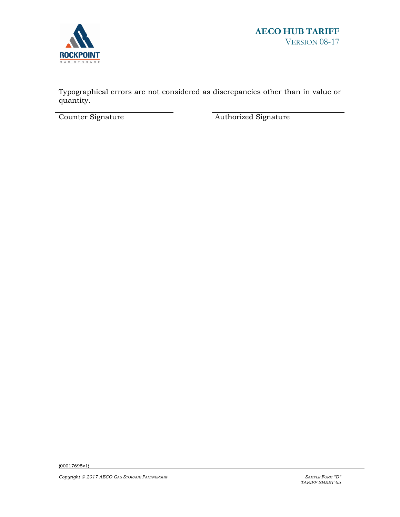

Typographical errors are not considered as discrepancies other than in value or quantity.

Counter Signature **Authorized Signature**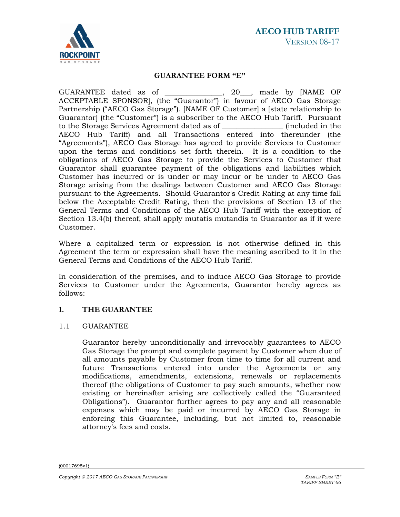

#### **GUARANTEE FORM "E"**

GUARANTEE dated as of \_\_\_\_\_\_\_\_\_\_\_\_\_\_\_\_, 20\_\_\_, made by [NAME OF ACCEPTABLE SPONSOR], (the "Guarantor") in favour of AECO Gas Storage Partnership ("AECO Gas Storage"). [NAME OF Customer] a [state relationship to Guarantor] (the "Customer") is a subscriber to the AECO Hub Tariff. Pursuant to the Storage Services Agreement dated as of \_\_\_\_\_\_\_\_\_\_\_\_\_\_\_\_\_ (included in the AECO Hub Tariff) and all Transactions entered into thereunder (the "Agreements"), AECO Gas Storage has agreed to provide Services to Customer upon the terms and conditions set forth therein. It is a condition to the obligations of AECO Gas Storage to provide the Services to Customer that Guarantor shall guarantee payment of the obligations and liabilities which Customer has incurred or is under or may incur or be under to AECO Gas Storage arising from the dealings between Customer and AECO Gas Storage pursuant to the Agreements. Should Guarantor's Credit Rating at any time fall below the Acceptable Credit Rating, then the provisions of Section 13 of the General Terms and Conditions of the AECO Hub Tariff with the exception of Section 13.4(b) thereof, shall apply mutatis mutandis to Guarantor as if it were Customer.

Where a capitalized term or expression is not otherwise defined in this Agreement the term or expression shall have the meaning ascribed to it in the General Terms and Conditions of the AECO Hub Tariff.

In consideration of the premises, and to induce AECO Gas Storage to provide Services to Customer under the Agreements, Guarantor hereby agrees as follows:

## **1. THE GUARANTEE**

## 1.1 GUARANTEE

Guarantor hereby unconditionally and irrevocably guarantees to AECO Gas Storage the prompt and complete payment by Customer when due of all amounts payable by Customer from time to time for all current and future Transactions entered into under the Agreements or any modifications, amendments, extensions, renewals or replacements thereof (the obligations of Customer to pay such amounts, whether now existing or hereinafter arising are collectively called the "Guaranteed Obligations"). Guarantor further agrees to pay any and all reasonable expenses which may be paid or incurred by AECO Gas Storage in enforcing this Guarantee, including, but not limited to, reasonable attorney's fees and costs.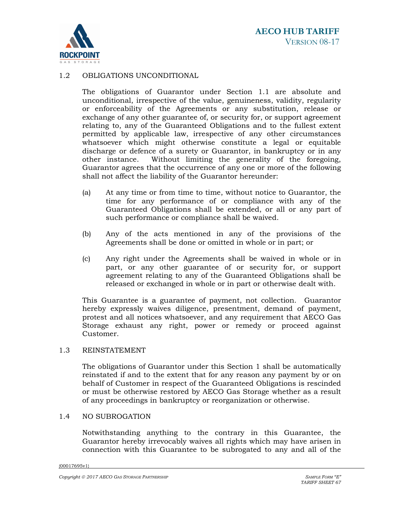

#### 1.2 OBLIGATIONS UNCONDITIONAL

The obligations of Guarantor under Section 1.1 are absolute and unconditional, irrespective of the value, genuineness, validity, regularity or enforceability of the Agreements or any substitution, release or exchange of any other guarantee of, or security for, or support agreement relating to, any of the Guaranteed Obligations and to the fullest extent permitted by applicable law, irrespective of any other circumstances whatsoever which might otherwise constitute a legal or equitable discharge or defence of a surety or Guarantor, in bankruptcy or in any other instance. Without limiting the generality of the foregoing, Guarantor agrees that the occurrence of any one or more of the following shall not affect the liability of the Guarantor hereunder:

- (a) At any time or from time to time, without notice to Guarantor, the time for any performance of or compliance with any of the Guaranteed Obligations shall be extended, or all or any part of such performance or compliance shall be waived.
- (b) Any of the acts mentioned in any of the provisions of the Agreements shall be done or omitted in whole or in part; or
- (c) Any right under the Agreements shall be waived in whole or in part, or any other guarantee of or security for, or support agreement relating to any of the Guaranteed Obligations shall be released or exchanged in whole or in part or otherwise dealt with.

This Guarantee is a guarantee of payment, not collection. Guarantor hereby expressly waives diligence, presentment, demand of payment, protest and all notices whatsoever, and any requirement that AECO Gas Storage exhaust any right, power or remedy or proceed against Customer.

## 1.3 REINSTATEMENT

The obligations of Guarantor under this Section 1 shall be automatically reinstated if and to the extent that for any reason any payment by or on behalf of Customer in respect of the Guaranteed Obligations is rescinded or must be otherwise restored by AECO Gas Storage whether as a result of any proceedings in bankruptcy or reorganization or otherwise.

#### 1.4 NO SUBROGATION

Notwithstanding anything to the contrary in this Guarantee, the Guarantor hereby irrevocably waives all rights which may have arisen in connection with this Guarantee to be subrogated to any and all of the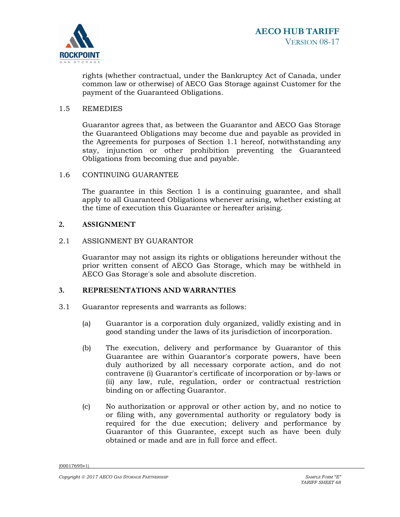

rights (whether contractual, under the Bankruptcy Act of Canada, under common law or otherwise) of AECO Gas Storage against Customer for the payment of the Guaranteed Obligations.

#### 1.5 REMEDIES

Guarantor agrees that, as between the Guarantor and AECO Gas Storage the Guaranteed Obligations may become due and payable as provided in the Agreements for purposes of Section 1.1 hereof, notwithstanding any stay, injunction or other prohibition preventing the Guaranteed Obligations from becoming due and payable.

#### 1.6 CONTINUING GUARANTEE

The guarantee in this Section 1 is a continuing guarantee, and shall apply to all Guaranteed Obligations whenever arising, whether existing at the time of execution this Guarantee or hereafter arising.

#### **2. ASSIGNMENT**

# 2.1 ASSIGNMENT BY GUARANTOR

Guarantor may not assign its rights or obligations hereunder without the prior written consent of AECO Gas Storage, which may be withheld in AECO Gas Storage's sole and absolute discretion.

#### **3. REPRESENTATIONS AND WARRANTIES**

- 3.1 Guarantor represents and warrants as follows:
	- (a) Guarantor is a corporation duly organized, validly existing and in good standing under the laws of its jurisdiction of incorporation.
	- (b) The execution, delivery and performance by Guarantor of this Guarantee are within Guarantor's corporate powers, have been duly authorized by all necessary corporate action, and do not contravene (i) Guarantor's certificate of incorporation or by-laws or (ii) any law, rule, regulation, order or contractual restriction binding on or affecting Guarantor.
	- (c) No authorization or approval or other action by, and no notice to or filing with, any governmental authority or regulatory body is required for the due execution; delivery and performance by Guarantor of this Guarantee, except such as have been duly obtained or made and are in full force and effect.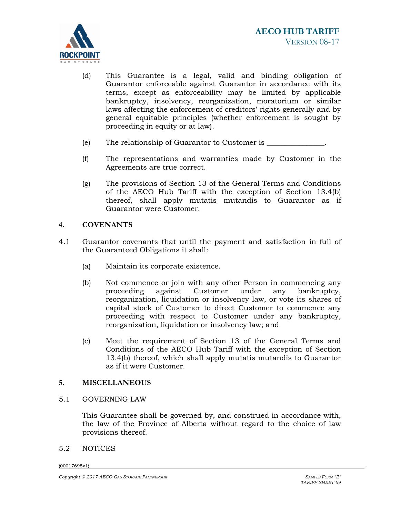

- (d) This Guarantee is a legal, valid and binding obligation of Guarantor enforceable against Guarantor in accordance with its terms, except as enforceability may be limited by applicable bankruptcy, insolvency, reorganization, moratorium or similar laws affecting the enforcement of creditors' rights generally and by general equitable principles (whether enforcement is sought by proceeding in equity or at law).
- (e) The relationship of Guarantor to Customer is \_\_\_\_\_\_\_\_\_\_\_\_\_\_\_\_.
- (f) The representations and warranties made by Customer in the Agreements are true correct.
- (g) The provisions of Section 13 of the General Terms and Conditions of the AECO Hub Tariff with the exception of Section 13.4(b) thereof, shall apply mutatis mutandis to Guarantor as if Guarantor were Customer.

#### **4. COVENANTS**

- 4.1 Guarantor covenants that until the payment and satisfaction in full of the Guaranteed Obligations it shall:
	- (a) Maintain its corporate existence.
	- (b) Not commence or join with any other Person in commencing any<br>proceeding against Customer under any bankruptcy, proceeding against Customer under any bankruptcy, reorganization, liquidation or insolvency law, or vote its shares of capital stock of Customer to direct Customer to commence any proceeding with respect to Customer under any bankruptcy, reorganization, liquidation or insolvency law; and
	- (c) Meet the requirement of Section 13 of the General Terms and Conditions of the AECO Hub Tariff with the exception of Section 13.4(b) thereof, which shall apply mutatis mutandis to Guarantor as if it were Customer.

#### **5. MISCELLANEOUS**

#### 5.1 GOVERNING LAW

This Guarantee shall be governed by, and construed in accordance with, the law of the Province of Alberta without regard to the choice of law provisions thereof.

#### 5.2 NOTICES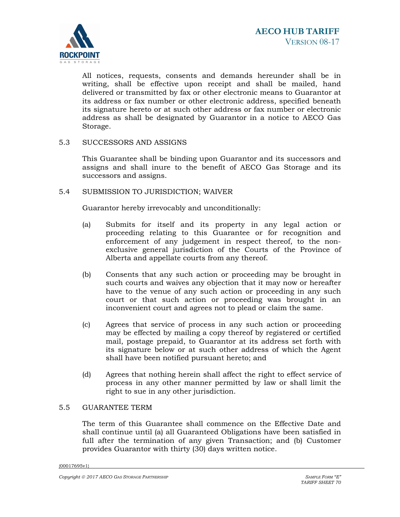

All notices, requests, consents and demands hereunder shall be in writing, shall be effective upon receipt and shall be mailed, hand delivered or transmitted by fax or other electronic means to Guarantor at its address or fax number or other electronic address, specified beneath its signature hereto or at such other address or fax number or electronic address as shall be designated by Guarantor in a notice to AECO Gas Storage.

5.3 SUCCESSORS AND ASSIGNS

This Guarantee shall be binding upon Guarantor and its successors and assigns and shall inure to the benefit of AECO Gas Storage and its successors and assigns.

## 5.4 SUBMISSION TO JURISDICTION; WAIVER

Guarantor hereby irrevocably and unconditionally:

- (a) Submits for itself and its property in any legal action or proceeding relating to this Guarantee or for recognition and enforcement of any judgement in respect thereof, to the nonexclusive general jurisdiction of the Courts of the Province of Alberta and appellate courts from any thereof.
- (b) Consents that any such action or proceeding may be brought in such courts and waives any objection that it may now or hereafter have to the venue of any such action or proceeding in any such court or that such action or proceeding was brought in an inconvenient court and agrees not to plead or claim the same.
- (c) Agrees that service of process in any such action or proceeding may be effected by mailing a copy thereof by registered or certified mail, postage prepaid, to Guarantor at its address set forth with its signature below or at such other address of which the Agent shall have been notified pursuant hereto; and
- (d) Agrees that nothing herein shall affect the right to effect service of process in any other manner permitted by law or shall limit the right to sue in any other jurisdiction.

## 5.5 GUARANTEE TERM

The term of this Guarantee shall commence on the Effective Date and shall continue until (a) all Guaranteed Obligations have been satisfied in full after the termination of any given Transaction; and (b) Customer provides Guarantor with thirty (30) days written notice.

{00017695v1}